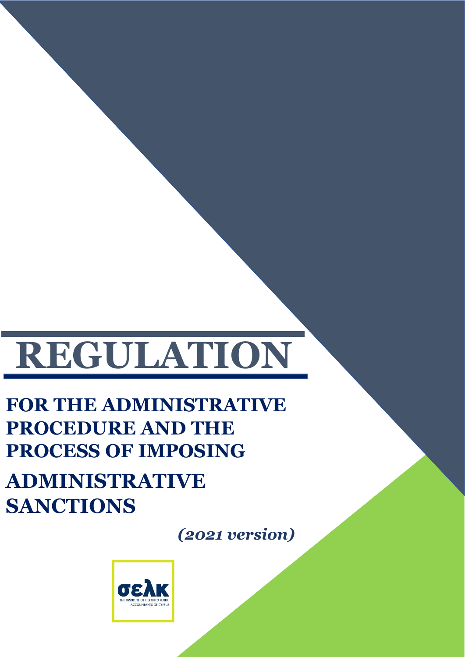# **REGULATION**

# **FOR THE ADMINISTRATIVE PROCEDURE AND THE PROCESS OF IMPOSING**

# **ADMINISTRATIVE SANCTIONS**

*(2021 version)*

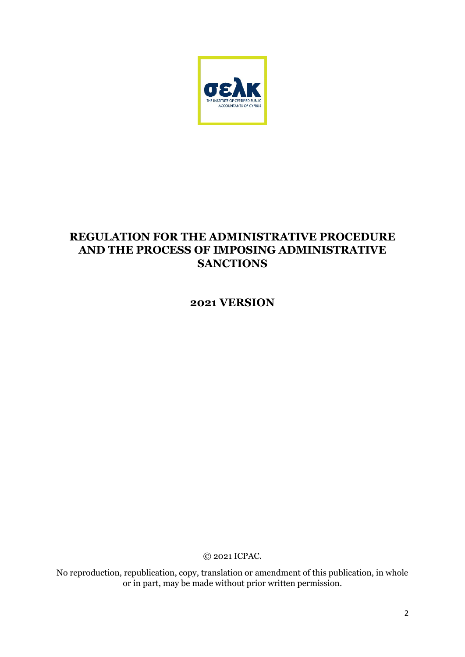

# **REGULATION FOR THE ADMINISTRATIVE PROCEDURE AND THE PROCESS OF IMPOSING ADMINISTRATIVE SANCTIONS**

**2021 VERSION**

© 2021 ICPAC.

No reproduction, republication, copy, translation or amendment of this publication, in whole or in part, may be made without prior written permission.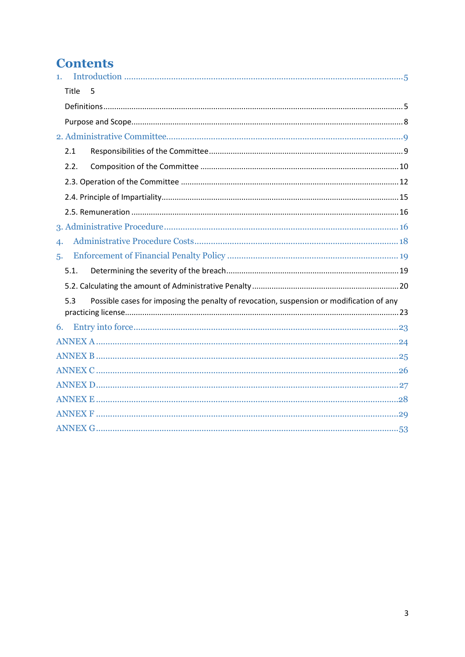# **Contents**

| 1. |       |                                                                                          |  |  |
|----|-------|------------------------------------------------------------------------------------------|--|--|
|    | Title | 5                                                                                        |  |  |
|    |       |                                                                                          |  |  |
|    |       |                                                                                          |  |  |
|    |       |                                                                                          |  |  |
|    | 2.1   |                                                                                          |  |  |
|    | 2.2.  |                                                                                          |  |  |
|    |       |                                                                                          |  |  |
|    |       |                                                                                          |  |  |
|    |       |                                                                                          |  |  |
|    |       |                                                                                          |  |  |
| 4. |       |                                                                                          |  |  |
| 5. |       |                                                                                          |  |  |
|    | 5.1.  |                                                                                          |  |  |
|    |       |                                                                                          |  |  |
|    | 5.3   | Possible cases for imposing the penalty of revocation, suspension or modification of any |  |  |
|    |       |                                                                                          |  |  |
| 6. |       |                                                                                          |  |  |
|    |       |                                                                                          |  |  |
|    |       |                                                                                          |  |  |
|    |       |                                                                                          |  |  |
|    |       |                                                                                          |  |  |
|    |       |                                                                                          |  |  |
|    |       |                                                                                          |  |  |
|    |       |                                                                                          |  |  |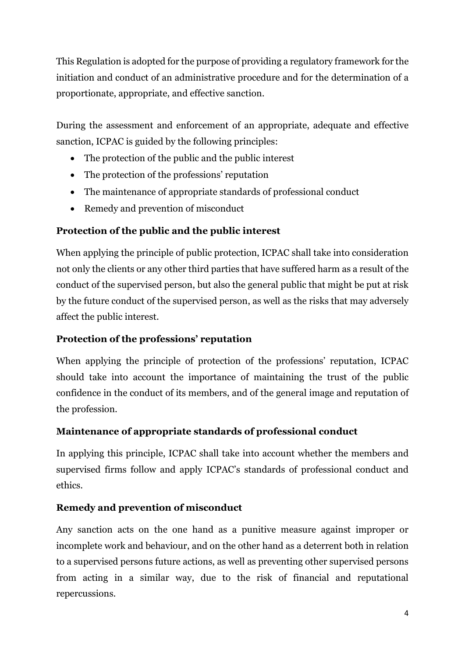This Regulation is adopted for the purpose of providing a regulatory framework for the initiation and conduct of an administrative procedure and for the determination of a proportionate, appropriate, and effective sanction.

During the assessment and enforcement of an appropriate, adequate and effective sanction, ICPAC is guided by the following principles:

- The protection of the public and the public interest
- The protection of the professions' reputation
- The maintenance of appropriate standards of professional conduct
- Remedy and prevention of misconduct

### **Protection of the public and the public interest**

When applying the principle of public protection, ICPAC shall take into consideration not only the clients or any other third parties that have suffered harm as a result of the conduct of the supervised person, but also the general public that might be put at risk by the future conduct of the supervised person, as well as the risks that may adversely affect the public interest.

#### **Protection of the professions' reputation**

When applying the principle of protection of the professions' reputation, ICPAC should take into account the importance of maintaining the trust of the public confidence in the conduct of its members, and of the general image and reputation of the profession.

#### **Maintenance of appropriate standards of professional conduct**

In applying this principle, ICPAC shall take into account whether the members and supervised firms follow and apply ICPAC's standards of professional conduct and ethics.

#### **Remedy and prevention of misconduct**

Any sanction acts on the one hand as a punitive measure against improper or incomplete work and behaviour, and on the other hand as a deterrent both in relation to a supervised persons future actions, as well as preventing other supervised persons from acting in a similar way, due to the risk of financial and reputational repercussions.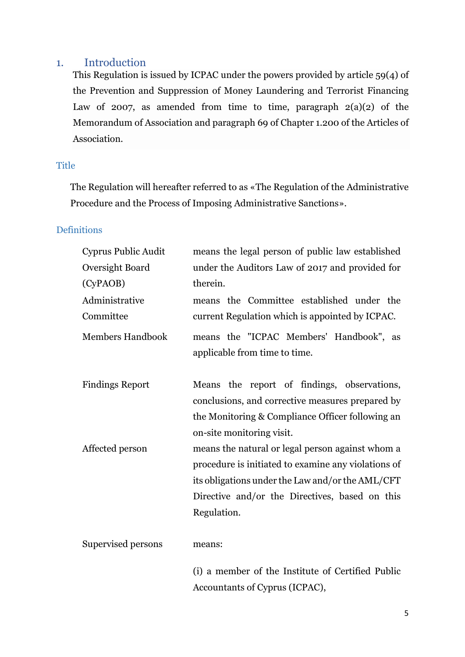#### <span id="page-4-0"></span>1. Introduction

This Regulation is issued by ICPAC under the powers provided by article 59(4) of the Prevention and Suppression of Money Laundering and Terrorist Financing Law of 2007, as amended from time to time, paragraph  $2(a)(2)$  of the Memorandum of Association and paragraph 69 of Chapter 1.200 of the Articles of Association.

#### <span id="page-4-1"></span>**Title**

The Regulation will hereafter referred to as «The Regulation of the Administrative Procedure and the Process of Imposing Administrative Sanctions».

#### <span id="page-4-2"></span>**Definitions**

| Cyprus Public Audit     | means the legal person of public law established                                                                                                                                                                             |  |  |  |
|-------------------------|------------------------------------------------------------------------------------------------------------------------------------------------------------------------------------------------------------------------------|--|--|--|
| Oversight Board         | under the Auditors Law of 2017 and provided for                                                                                                                                                                              |  |  |  |
| (CyPAOB)                | therein.                                                                                                                                                                                                                     |  |  |  |
| Administrative          | means the Committee established under the                                                                                                                                                                                    |  |  |  |
| Committee               | current Regulation which is appointed by ICPAC.                                                                                                                                                                              |  |  |  |
| <b>Members Handbook</b> | means the "ICPAC Members' Handbook", as<br>applicable from time to time.                                                                                                                                                     |  |  |  |
| <b>Findings Report</b>  | Means the report of findings, observations,<br>conclusions, and corrective measures prepared by<br>the Monitoring & Compliance Officer following an<br>on-site monitoring visit.                                             |  |  |  |
| Affected person         | means the natural or legal person against whom a<br>procedure is initiated to examine any violations of<br>its obligations under the Law and/or the AML/CFT<br>Directive and/or the Directives, based on this<br>Regulation. |  |  |  |
| Supervised persons      | means:                                                                                                                                                                                                                       |  |  |  |

(i) a member of the Institute of Certified Public Accountants of Cyprus (ICPAC),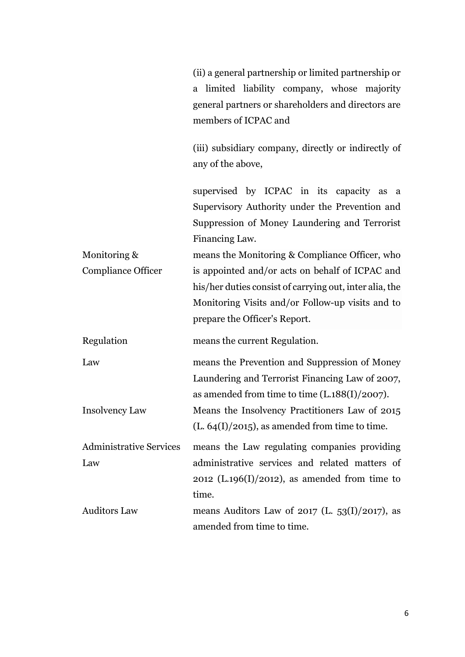|                                | (ii) a general partnership or limited partnership or<br>a limited liability company, whose majority                                                           |  |  |
|--------------------------------|---------------------------------------------------------------------------------------------------------------------------------------------------------------|--|--|
|                                | general partners or shareholders and directors are<br>members of ICPAC and                                                                                    |  |  |
|                                | (iii) subsidiary company, directly or indirectly of<br>any of the above,                                                                                      |  |  |
|                                | supervised by ICPAC in its capacity as a<br>Supervisory Authority under the Prevention and<br>Suppression of Money Laundering and Terrorist<br>Financing Law. |  |  |
| Monitoring &                   | means the Monitoring & Compliance Officer, who                                                                                                                |  |  |
| <b>Compliance Officer</b>      | is appointed and/or acts on behalf of ICPAC and                                                                                                               |  |  |
|                                | his/her duties consist of carrying out, inter alia, the                                                                                                       |  |  |
|                                | Monitoring Visits and/or Follow-up visits and to                                                                                                              |  |  |
|                                | prepare the Officer's Report.                                                                                                                                 |  |  |
| Regulation                     | means the current Regulation.                                                                                                                                 |  |  |
| Law                            | means the Prevention and Suppression of Money                                                                                                                 |  |  |
|                                | Laundering and Terrorist Financing Law of 2007,<br>as amended from time to time $(L.188(I)/2007)$ .                                                           |  |  |
| <b>Insolvency Law</b>          | Means the Insolvency Practitioners Law of 2015                                                                                                                |  |  |
|                                | $(L. 64(I)/2015)$ , as amended from time to time.                                                                                                             |  |  |
| <b>Administrative Services</b> | means the Law regulating companies providing                                                                                                                  |  |  |
| Law                            | administrative services and related matters of                                                                                                                |  |  |
|                                | $2012$ (L.196(I)/2012), as amended from time to                                                                                                               |  |  |
|                                | time.                                                                                                                                                         |  |  |
| <b>Auditors Law</b>            | means Auditors Law of 2017 (L. $53(I)/2017$ ), as                                                                                                             |  |  |
|                                | amended from time to time.                                                                                                                                    |  |  |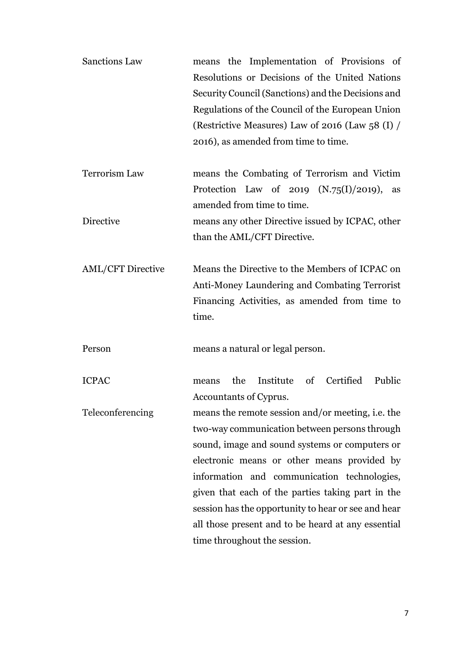| <b>Sanctions Law</b>     | means the Implementation of Provisions of<br>Resolutions or Decisions of the United Nations<br>Security Council (Sanctions) and the Decisions and<br>Regulations of the Council of the European Union<br>(Restrictive Measures) Law of 2016 (Law 58 $(I)$ /<br>2016), as amended from time to time.                                                                                                                                                  |
|--------------------------|------------------------------------------------------------------------------------------------------------------------------------------------------------------------------------------------------------------------------------------------------------------------------------------------------------------------------------------------------------------------------------------------------------------------------------------------------|
| Terrorism Law            | means the Combating of Terrorism and Victim<br>Protection Law of 2019 $(N.75(I)/2019)$ , as                                                                                                                                                                                                                                                                                                                                                          |
| Directive                | amended from time to time.<br>means any other Directive issued by ICPAC, other<br>than the AML/CFT Directive.                                                                                                                                                                                                                                                                                                                                        |
| <b>AML/CFT Directive</b> | Means the Directive to the Members of ICPAC on<br>Anti-Money Laundering and Combating Terrorist<br>Financing Activities, as amended from time to<br>time.                                                                                                                                                                                                                                                                                            |
| Person                   | means a natural or legal person.                                                                                                                                                                                                                                                                                                                                                                                                                     |
| <b>ICPAC</b>             | Institute<br>Certified<br>Public<br>the<br>of<br>means<br>Accountants of Cyprus.                                                                                                                                                                                                                                                                                                                                                                     |
| Teleconferencing         | means the remote session and/or meeting, i.e. the<br>two-way communication between persons through<br>sound, image and sound systems or computers or<br>electronic means or other means provided by<br>information and communication technologies,<br>given that each of the parties taking part in the<br>session has the opportunity to hear or see and hear<br>all those present and to be heard at any essential<br>time throughout the session. |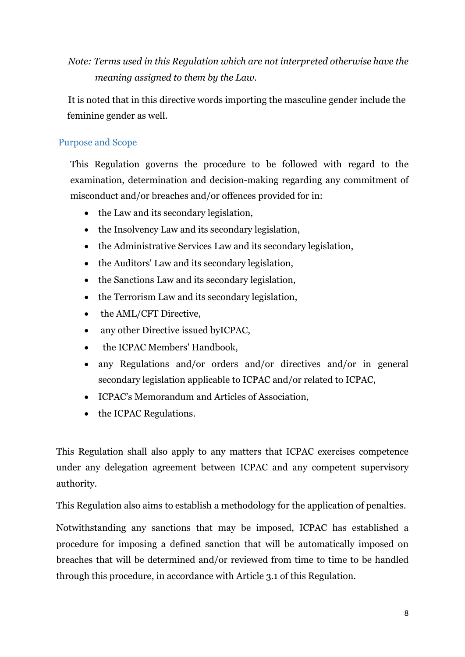*Note: Terms used in this Regulation which are not interpreted otherwise have the meaning assigned to them by the Law.* 

It is noted that in this directive words importing the masculine gender include the feminine gender as well.

#### <span id="page-7-0"></span>Purpose and Scope

This Regulation governs the procedure to be followed with regard to the examination, determination and decision-making regarding any commitment of misconduct and/or breaches and/or offences provided for in:

- the Law and its secondary legislation,
- the Insolvency Law and its secondary legislation,
- the Administrative Services Law and its secondary legislation,
- the Auditors' Law and its secondary legislation,
- the Sanctions Law and its secondary legislation,
- the Terrorism Law and its secondary legislation,
- the AML/CFT Directive.
- any other Directive issued byICPAC,
- the ICPAC Members' Handbook,
- any Regulations and/or orders and/or directives and/or in general secondary legislation applicable to ICPAC and/or related to ICPAC,
- ICPAC's Memorandum and Articles of Association,
- the ICPAC Regulations.

This Regulation shall also apply to any matters that ICPAC exercises competence under any delegation agreement between ICPAC and any competent supervisory authority.

This Regulation also aims to establish a methodology for the application of penalties.

Notwithstanding any sanctions that may be imposed, ICPAC has established a procedure for imposing a defined sanction that will be automatically imposed on breaches that will be determined and/or reviewed from time to time to be handled through this procedure, in accordance with Article 3.1 of this Regulation.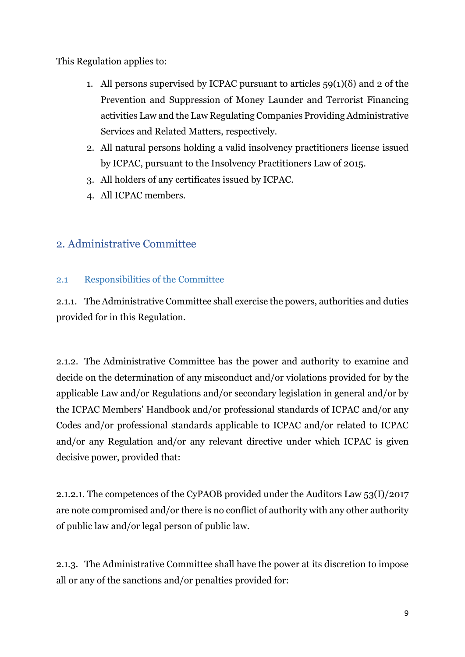This Regulation applies to:

- 1. All persons supervised by ICPAC pursuant to articles  $59(1)(\delta)$  and 2 of the Prevention and Suppression of Money Launder and Terrorist Financing activities Law and the Law Regulating Companies Providing Administrative Services and Related Matters, respectively.
- 2. All natural persons holding a valid insolvency practitioners license issued by ICPAC, pursuant to the Insolvency Practitioners Law of 2015.
- 3. All holders of any certificates issued by ICPAC.
- 4. All ICPAC members.

# <span id="page-8-0"></span>2. Administrative Committee

#### <span id="page-8-1"></span>2.1 Responsibilities of the Committee

2.1.1. The Administrative Committee shall exercise the powers, authorities and duties provided for in this Regulation.

2.1.2. The Administrative Committee has the power and authority to examine and decide on the determination of any misconduct and/or violations provided for by the applicable Law and/or Regulations and/or secondary legislation in general and/or by the ICPAC Members' Handbook and/or professional standards of ICPAC and/or any Codes and/or professional standards applicable to ICPAC and/or related to ICPAC and/or any Regulation and/or any relevant directive under which ICPAC is given decisive power, provided that:

2.1.2.1. The competences of the CyPAOB provided under the Auditors Law 53(I)/2017 are note compromised and/or there is no conflict of authority with any other authority of public law and/or legal person of public law.

2.1.3. The Administrative Committee shall have the power at its discretion to impose all or any of the sanctions and/or penalties provided for: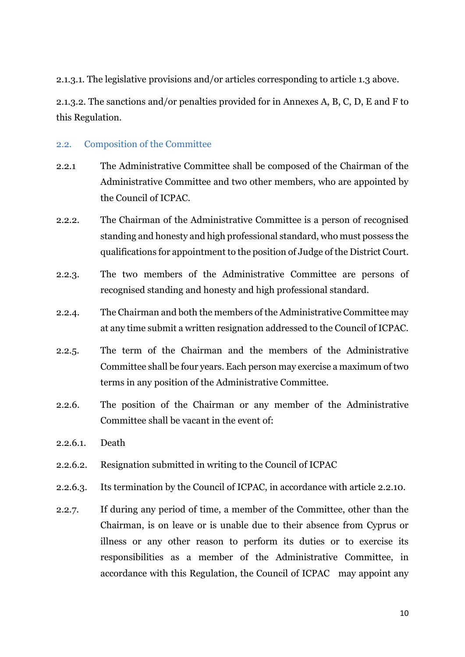2.1.3.1. The legislative provisions and/or articles corresponding to article 1.3 above.

2.1.3.2. The sanctions and/or penalties provided for in Annexes A, B, C, D, E and F to this Regulation.

#### <span id="page-9-0"></span>2.2. Composition of the Committee

- 2.2.1 The Administrative Committee shall be composed of the Chairman of the Administrative Committee and two other members, who are appointed by the Council of ICPAC.
- 2.2.2. The Chairman of the Administrative Committee is a person of recognised standing and honesty and high professional standard, who must possess the qualifications for appointment to the position of Judge of the District Court.
- 2.2.3. The two members of the Administrative Committee are persons of recognised standing and honesty and high professional standard.
- 2.2.4. The Chairman and both the members of the Administrative Committee may at any time submit a written resignation addressed to the Council of ICPAC.
- 2.2.5. The term of the Chairman and the members of the Administrative Committee shall be four years. Each person may exercise a maximum of two terms in any position of the Administrative Committee.
- 2.2.6. The position of the Chairman or any member of the Administrative Committee shall be vacant in the event of
- 2.2.6.1. Death
- 2.2.6.2. Resignation submitted in writing to the Council of ICPAC
- 2.2.6.3. Its termination by the Council of ICPAC, in accordance with article 2.2.10.
- 2.2.7. If during any period of time, a member of the Committee, other than the Chairman, is on leave or is unable due to their absence from Cyprus or illness or any other reason to perform its duties or to exercise its responsibilities as a member of the Administrative Committee, in accordance with this Regulation, the Council of ICPAC may appoint any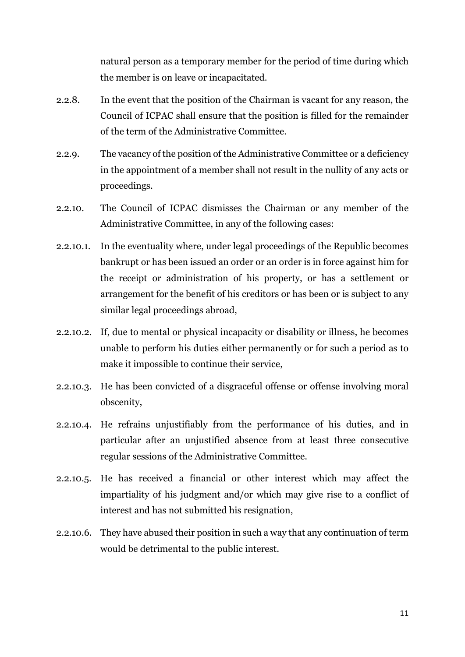natural person as a temporary member for the period of time during which the member is on leave or incapacitated.

- 2.2.8. In the event that the position of the Chairman is vacant for any reason, the Council of ICPAC shall ensure that the position is filled for the remainder of the term of the Administrative Committee.
- 2.2.9. The vacancy of the position of the Administrative Committee or a deficiency in the appointment of a member shall not result in the nullity of any acts or proceedings.
- 2.2.10. The Council of ICPAC dismisses the Chairman or any member of the Administrative Committee, in any of the following cases:
- 2.2.10.1. In the eventuality where, under legal proceedings of the Republic becomes bankrupt or has been issued an order or an order is in force against him for the receipt or administration of his property, or has a settlement or arrangement for the benefit of his creditors or has been or is subject to any similar legal proceedings abroad,
- 2.2.10.2. If, due to mental or physical incapacity or disability or illness, he becomes unable to perform his duties either permanently or for such a period as to make it impossible to continue their service,
- 2.2.10.3. He has been convicted of a disgraceful offense or offense involving moral obscenity,
- 2.2.10.4. He refrains unjustifiably from the performance of his duties, and in particular after an unjustified absence from at least three consecutive regular sessions of the Administrative Committee.
- 2.2.10.5. He has received a financial or other interest which may affect the impartiality of his judgment and/or which may give rise to a conflict of interest and has not submitted his resignation,
- 2.2.10.6. They have abused their position in such a way that any continuation of term would be detrimental to the public interest.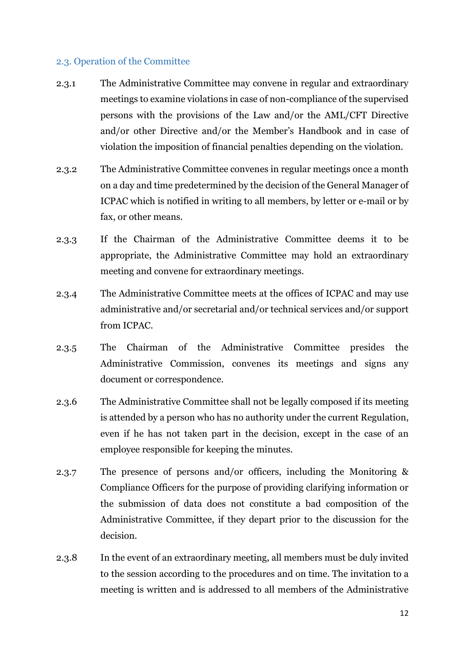#### <span id="page-11-0"></span>2.3. Operation of the Committee

- 2.3.1 The Administrative Committee may convene in regular and extraordinary meetings to examine violations in case of non-compliance of the supervised persons with the provisions of the Law and/or the AML/CFT Directive and/or other Directive and/or the Member's Handbook and in case of violation the imposition of financial penalties depending on the violation.
- 2.3.2 The Administrative Committee convenes in regular meetings once a month on a day and time predetermined by the decision of the General Manager of ICPAC which is notified in writing to all members, by letter or e-mail or by fax, or other means.
- 2.3.3 If the Chairman of the Administrative Committee deems it to be appropriate, the Administrative Committee may hold an extraordinary meeting and convene for extraordinary meetings.
- 2.3.4 The Administrative Committee meets at the offices of ICPAC and may use administrative and/or secretarial and/or technical services and/or support from ICPAC.
- 2.3.5 The Chairman of the Administrative Committee presides the Administrative Commission, convenes its meetings and signs any document or correspondence.
- 2.3.6 The Administrative Committee shall not be legally composed if its meeting is attended by a person who has no authority under the current Regulation, even if he has not taken part in the decision, except in the case of an employee responsible for keeping the minutes.
- 2.3.7 The presence of persons and/or officers, including the Monitoring & Compliance Officers for the purpose of providing clarifying information or the submission of data does not constitute a bad composition of the Administrative Committee, if they depart prior to the discussion for the decision.
- 2.3.8 In the event of an extraordinary meeting, all members must be duly invited to the session according to the procedures and on time. The invitation to a meeting is written and is addressed to all members of the Administrative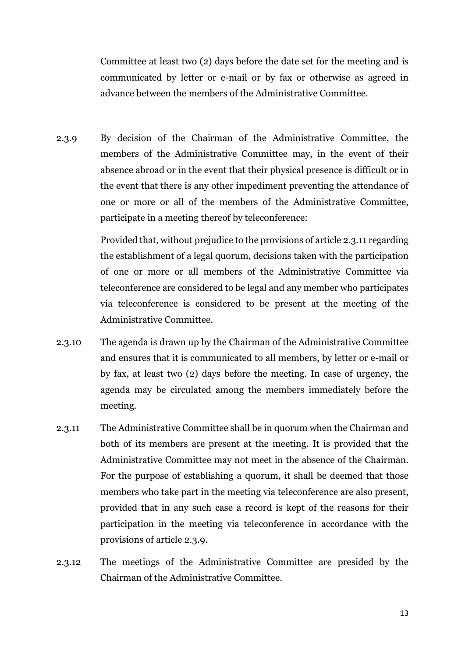Committee at least two (2) days before the date set for the meeting and is communicated by letter or e-mail or by fax or otherwise as agreed in advance between the members of the Administrative Committee.

2.3.9 By decision of the Chairman of the Administrative Committee, the members of the Administrative Committee may, in the event of their absence abroad or in the event that their physical presence is difficult or in the event that there is any other impediment preventing the attendance of one or more or all of the members of the Administrative Committee, participate in a meeting thereof by teleconference:

> Provided that, without prejudice to the provisions of article 2.3.11 regarding the establishment of a legal quorum, decisions taken with the participation of one or more or all members of the Administrative Committee via teleconference are considered to be legal and any member who participates via teleconference is considered to be present at the meeting of the Administrative Committee.

- 2.3.10 The agenda is drawn up by the Chairman of the Administrative Committee and ensures that it is communicated to all members, by letter or e-mail or by fax, at least two (2) days before the meeting. In case of urgency, the agenda may be circulated among the members immediately before the meeting.
- 2.3.11 The Administrative Committee shall be in quorum when the Chairman and both of its members are present at the meeting. It is provided that the Administrative Committee may not meet in the absence of the Chairman. For the purpose of establishing a quorum, it shall be deemed that those members who take part in the meeting via teleconference are also present, provided that in any such case a record is kept of the reasons for their participation in the meeting via teleconference in accordance with the provisions of article 2.3.9.
- 2.3.12 The meetings of the Administrative Committee are presided by the Chairman of the Administrative Committee.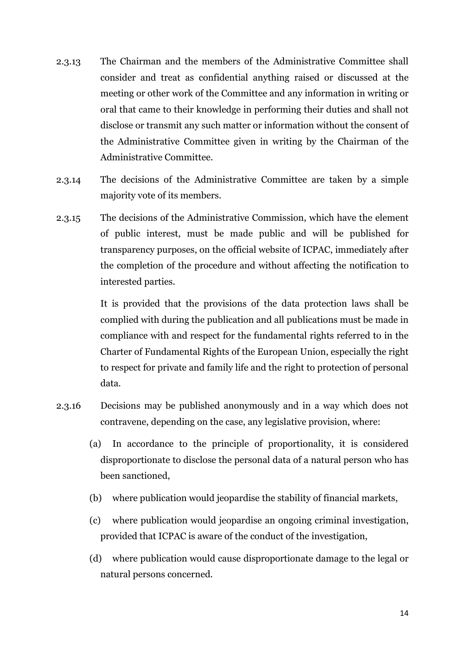- 2.3.13 The Chairman and the members of the Administrative Committee shall consider and treat as confidential anything raised or discussed at the meeting or other work of the Committee and any information in writing or oral that came to their knowledge in performing their duties and shall not disclose or transmit any such matter or information without the consent of the Administrative Committee given in writing by the Chairman of the Administrative Committee.
- 2.3.14 The decisions of the Administrative Committee are taken by a simple majority vote of its members.
- 2.3.15 The decisions of the Administrative Commission, which have the element of public interest, must be made public and will be published for transparency purposes, on the official website of ICPAC, immediately after the completion of the procedure and without affecting the notification to interested parties.

It is provided that the provisions of the data protection laws shall be complied with during the publication and all publications must be made in compliance with and respect for the fundamental rights referred to in the Charter of Fundamental Rights of the European Union, especially the right to respect for private and family life and the right to protection of personal data.

- 2.3.16 Decisions may be published anonymously and in a way which does not contravene, depending on the case, any legislative provision, where:
	- (a) In accordance to the principle of proportionality, it is considered disproportionate to disclose the personal data of a natural person who has been sanctioned,
	- (b) where publication would jeopardise the stability of financial markets,
	- (c) where publication would jeopardise an ongoing criminal investigation, provided that ICPAC is aware of the conduct of the investigation,
	- (d) where publication would cause disproportionate damage to the legal or natural persons concerned.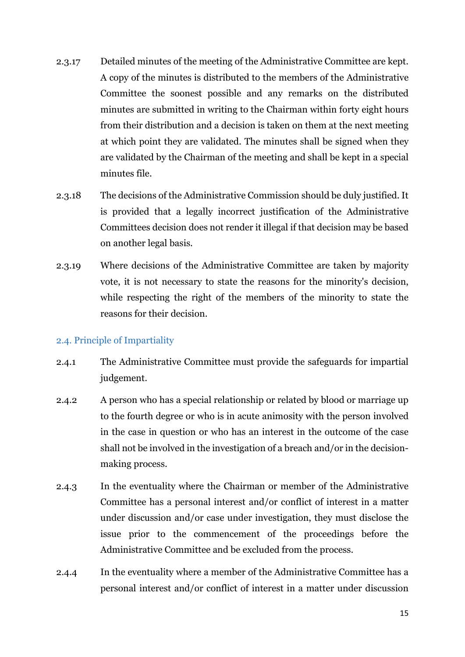- 2.3.17 Detailed minutes of the meeting of the Administrative Committee are kept. A copy of the minutes is distributed to the members of the Administrative Committee the soonest possible and any remarks on the distributed minutes are submitted in writing to the Chairman within forty eight hours from their distribution and a decision is taken on them at the next meeting at which point they are validated. The minutes shall be signed when they are validated by the Chairman of the meeting and shall be kept in a special minutes file.
- 2.3.18 The decisions of the Administrative Commission should be duly justified. It is provided that a legally incorrect justification of the Administrative Committees decision does not render it illegal if that decision may be based on another legal basis.
- 2.3.19 Where decisions of the Administrative Committee are taken by majority vote, it is not necessary to state the reasons for the minority's decision, while respecting the right of the members of the minority to state the reasons for their decision.

#### <span id="page-14-0"></span>2.4. Principle of Impartiality

- 2.4.1 The Administrative Committee must provide the safeguards for impartial judgement.
- 2.4.2 A person who has a special relationship or related by blood or marriage up to the fourth degree or who is in acute animosity with the person involved in the case in question or who has an interest in the outcome of the case shall not be involved in the investigation of a breach and/or in the decisionmaking process.
- 2.4.3 In the eventuality where the Chairman or member of the Administrative Committee has a personal interest and/or conflict of interest in a matter under discussion and/or case under investigation, they must disclose the issue prior to the commencement of the proceedings before the Administrative Committee and be excluded from the process.
- 2.4.4 In the eventuality where a member of the Administrative Committee has a personal interest and/or conflict of interest in a matter under discussion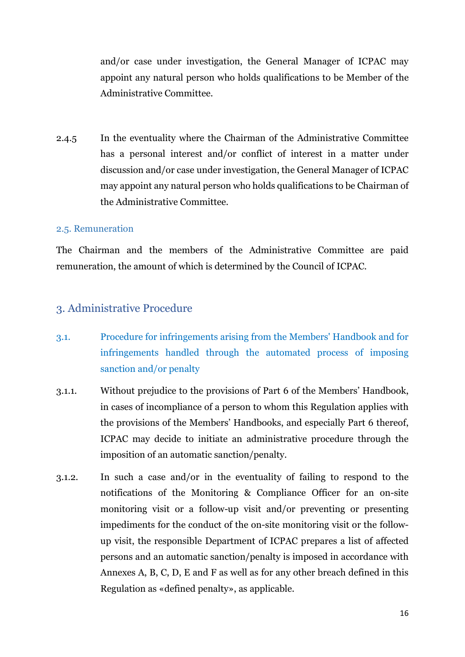and/or case under investigation, the General Manager of ICPAC may appoint any natural person who holds qualifications to be Member of the Administrative Committee.

2.4.5 In the eventuality where the Chairman of the Administrative Committee has a personal interest and/or conflict of interest in a matter under discussion and/or case under investigation, the General Manager of ICPAC may appoint any natural person who holds qualifications to be Chairman of the Administrative Committee.

#### <span id="page-15-0"></span>2.5. Remuneration

The Chairman and the members of the Administrative Committee are paid remuneration, the amount of which is determined by the Council of ICPAC.

#### <span id="page-15-1"></span>3. Administrative Procedure

- 3.1. Procedure for infringements arising from the Members' Handbook and for infringements handled through the automated process of imposing sanction and/or penalty
- 3.1.1. Without prejudice to the provisions of Part 6 of the Members' Handbook, in cases of incompliance of a person to whom this Regulation applies with the provisions of the Members' Handbooks, and especially Part 6 thereof, ICPAC may decide to initiate an administrative procedure through the imposition of an automatic sanction/penalty.
- 3.1.2. In such a case and/or in the eventuality of failing to respond to the notifications of the Monitoring & Compliance Officer for an on-site monitoring visit or a follow-up visit and/or preventing or presenting impediments for the conduct of the on-site monitoring visit or the followup visit, the responsible Department of ICPAC prepares a list of affected persons and an automatic sanction/penalty is imposed in accordance with Annexes A, B, C, D, E and F as well as for any other breach defined in this Regulation as «defined penalty», as applicable.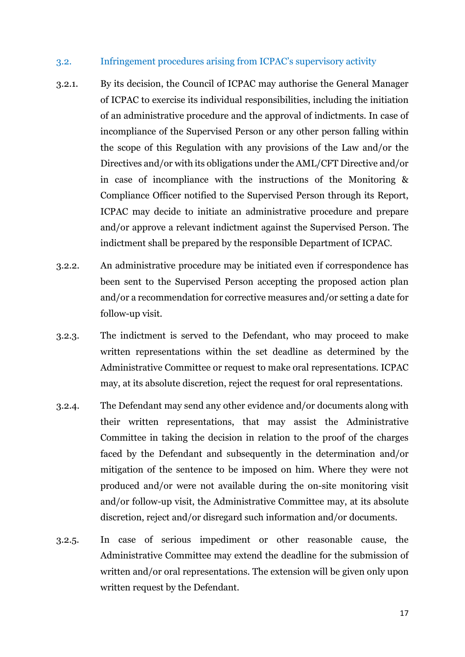#### 3.2. Infringement procedures arising from ICPAC's supervisory activity

- 3.2.1. By its decision, the Council of ICPAC may authorise the General Manager of ICPAC to exercise its individual responsibilities, including the initiation of an administrative procedure and the approval of indictments. In case of incompliance of the Supervised Person or any other person falling within the scope of this Regulation with any provisions of the Law and/or the Directives and/or with its obligations under the AML/CFT Directive and/or in case of incompliance with the instructions of the Monitoring & Compliance Officer notified to the Supervised Person through its Report, ICPAC may decide to initiate an administrative procedure and prepare and/or approve a relevant indictment against the Supervised Person. The indictment shall be prepared by the responsible Department of ICPAC.
- 3.2.2. An administrative procedure may be initiated even if correspondence has been sent to the Supervised Person accepting the proposed action plan and/or a recommendation for corrective measures and/or setting a date for follow-up visit.
- 3.2.3. The indictment is served to the Defendant, who may proceed to make written representations within the set deadline as determined by the Administrative Committee or request to make oral representations. ICPAC may, at its absolute discretion, reject the request for oral representations.
- 3.2.4. The Defendant may send any other evidence and/or documents along with their written representations, that may assist the Administrative Committee in taking the decision in relation to the proof of the charges faced by the Defendant and subsequently in the determination and/or mitigation of the sentence to be imposed on him. Where they were not produced and/or were not available during the on-site monitoring visit and/or follow-up visit, the Administrative Committee may, at its absolute discretion, reject and/or disregard such information and/or documents.
- 3.2.5. In case of serious impediment or other reasonable cause, the Administrative Committee may extend the deadline for the submission of written and/or oral representations. The extension will be given only upon written request by the Defendant.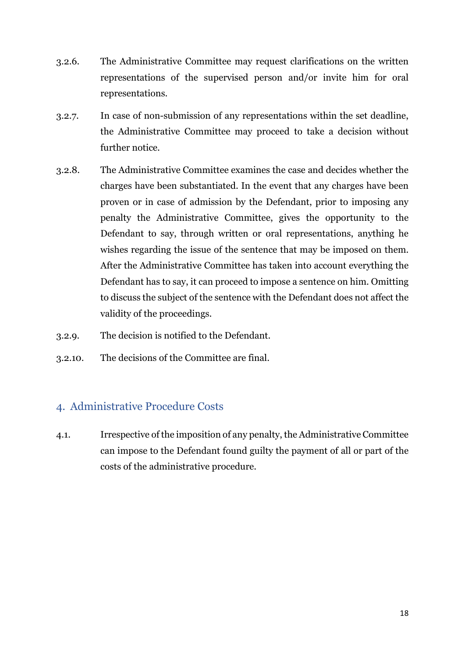- 3.2.6. The Administrative Committee may request clarifications on the written representations of the supervised person and/or invite him for oral representations.
- 3.2.7. In case of non-submission of any representations within the set deadline, the Administrative Committee may proceed to take a decision without further notice.
- 3.2.8. The Administrative Committee examines the case and decides whether the charges have been substantiated. In the event that any charges have been proven or in case of admission by the Defendant, prior to imposing any penalty the Administrative Committee, gives the opportunity to the Defendant to say, through written or oral representations, anything he wishes regarding the issue of the sentence that may be imposed on them. After the Administrative Committee has taken into account everything the Defendant has to say, it can proceed to impose a sentence on him. Omitting to discuss the subject of the sentence with the Defendant does not affect the validity of the proceedings.
- 3.2.9. The decision is notified to the Defendant.
- 3.2.10. The decisions of the Committee are final.

#### <span id="page-17-0"></span>4. Administrative Procedure Costs

4.1. Irrespective of the imposition of any penalty, the Administrative Committee can impose to the Defendant found guilty the payment of all or part of the costs of the administrative procedure.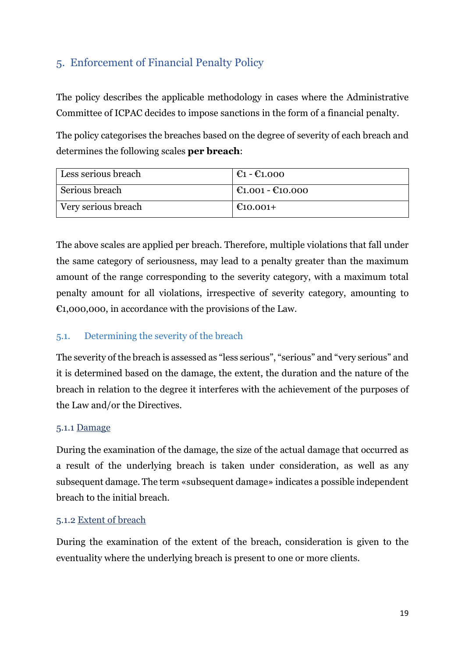# <span id="page-18-0"></span>5. Enforcement of Financial Penalty Policy

The policy describes the applicable methodology in cases where the Administrative Committee of ICPAC decides to impose sanctions in the form of a financial penalty.

The policy categorises the breaches based on the degree of severity of each breach and determines the following scales **per breach**:

| Less serious breach | $\epsilon_1 - \epsilon_{1.000}$        |
|---------------------|----------------------------------------|
| Serious breach      | $\mathcal{C}1.001 - \mathcal{C}10.000$ |
| Very serious breach | €10.001+                               |

The above scales are applied per breach. Therefore, multiple violations that fall under the same category of seriousness, may lead to a penalty greater than the maximum amount of the range corresponding to the severity category, with a maximum total penalty amount for all violations, irrespective of severity category, amounting to  $\epsilon$ 1,000,000, in accordance with the provisions of the Law.

#### <span id="page-18-1"></span>5.1. Determining the severity of the breach

The severity of the breach is assessed as "less serious", "serious" and "very serious" and it is determined based on the damage, the extent, the duration and the nature of the breach in relation to the degree it interferes with the achievement of the purposes of the Law and/or the Directives.

#### 5.1.1 Damage

During the examination of the damage, the size of the actual damage that occurred as a result of the underlying breach is taken under consideration, as well as any subsequent damage. The term «subsequent damage» indicates a possible independent breach to the initial breach.

#### 5.1.2 Extent of breach

During the examination of the extent of the breach, consideration is given to the eventuality where the underlying breach is present to one or more clients.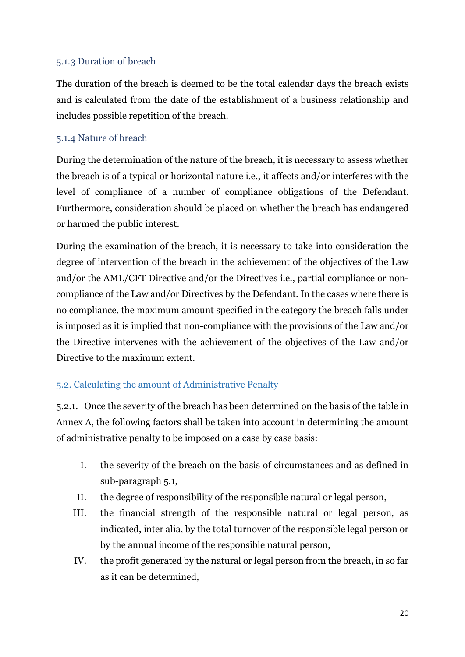#### 5.1.3 Duration of breach

The duration of the breach is deemed to be the total calendar days the breach exists and is calculated from the date of the establishment of a business relationship and includes possible repetition of the breach.

#### 5.1.4 Nature of breach

During the determination of the nature of the breach, it is necessary to assess whether the breach is of a typical or horizontal nature i.e., it affects and/or interferes with the level of compliance of a number of compliance obligations of the Defendant. Furthermore, consideration should be placed on whether the breach has endangered or harmed the public interest.

During the examination of the breach, it is necessary to take into consideration the degree of intervention of the breach in the achievement of the objectives of the Law and/or the AML/CFT Directive and/or the Directives i.e., partial compliance or noncompliance of the Law and/or Directives by the Defendant. In the cases where there is no compliance, the maximum amount specified in the category the breach falls under is imposed as it is implied that non-compliance with the provisions of the Law and/or the Directive intervenes with the achievement of the objectives of the Law and/or Directive to the maximum extent.

#### <span id="page-19-0"></span>5.2. Calculating the amount of Administrative Penalty

5.2.1. Once the severity of the breach has been determined on the basis of the table in Annex A, the following factors shall be taken into account in determining the amount of administrative penalty to be imposed on a case by case basis:

- I. the severity of the breach on the basis of circumstances and as defined in sub-paragraph 5.1,
- II. the degree of responsibility of the responsible natural or legal person,
- III. the financial strength of the responsible natural or legal person, as indicated, inter alia, by the total turnover of the responsible legal person or by the annual income of the responsible natural person,
- IV. the profit generated by the natural or legal person from the breach, in so far as it can be determined,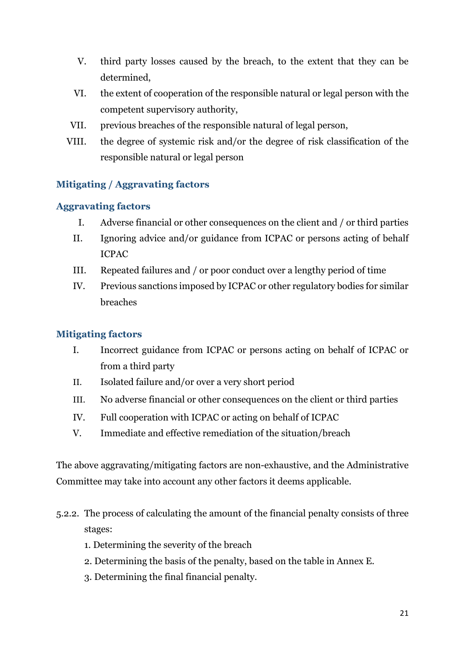- V. third party losses caused by the breach, to the extent that they can be determined,
- VI. the extent of cooperation of the responsible natural or legal person with the competent supervisory authority,
- VII. previous breaches of the responsible natural of legal person,
- VIII. the degree of systemic risk and/or the degree of risk classification of the responsible natural or legal person

#### **Mitigating / Aggravating factors**

#### **Aggravating factors**

- Ι. Adverse financial or other consequences on the client and / or third parties
- II. Ignoring advice and/or guidance from ICPAC or persons acting of behalf ICPAC
- III. Repeated failures and / or poor conduct over a lengthy period of time
- IV. Previous sanctions imposed by ICPAC or other regulatory bodies for similar breaches

#### **Mitigating factors**

- Ι. Incorrect guidance from ICPAC or persons acting on behalf of ICPAC or from a third party
- II. Isolated failure and/or over a very short period
- ΙΙΙ. No adverse financial or other consequences on the client or third parties
- IV. Full cooperation with ICPAC or acting on behalf of ICPAC
- V. Immediate and effective remediation of the situation/breach

The above aggravating/mitigating factors are non-exhaustive, and the Administrative Committee may take into account any other factors it deems applicable.

- 5.2.2. The process of calculating the amount of the financial penalty consists of three stages:
	- 1. Determining the severity of the breach
	- 2. Determining the basis of the penalty, based on the table in Annex E.
	- 3. Determining the final financial penalty.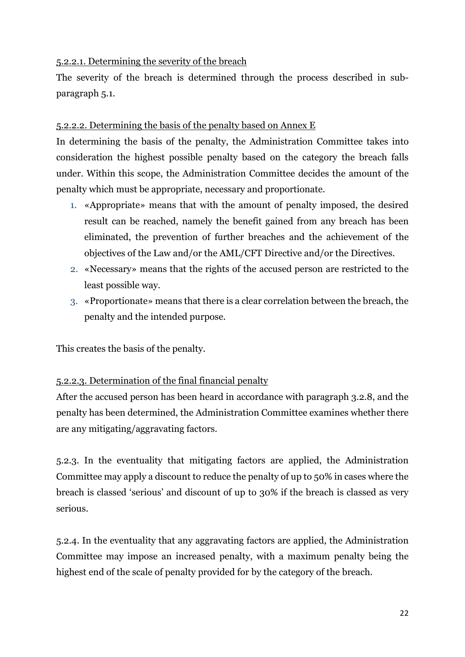#### 5.2.2.1. Determining the severity of the breach

The severity of the breach is determined through the process described in subparagraph 5.1.

#### 5.2.2.2. Determining the basis of the penalty based on Annex E

In determining the basis of the penalty, the Administration Committee takes into consideration the highest possible penalty based on the category the breach falls under. Within this scope, the Administration Committee decides the amount of the penalty which must be appropriate, necessary and proportionate.

- 1. «Appropriate» means that with the amount of penalty imposed, the desired result can be reached, namely the benefit gained from any breach has been eliminated, the prevention of further breaches and the achievement of the objectives of the Law and/or the AML/CFT Directive and/or the Directives.
- 2. «Necessary» means that the rights of the accused person are restricted to the least possible way.
- 3. «Proportionate» means that there is a clear correlation between the breach, the penalty and the intended purpose.

This creates the basis of the penalty.

#### 5.2.2.3. Determination of the final financial penalty

After the accused person has been heard in accordance with paragraph 3.2.8, and the penalty has been determined, the Administration Committee examines whether there are any mitigating/aggravating factors.

5.2.3. In the eventuality that mitigating factors are applied, the Administration Committee may apply a discount to reduce the penalty of up to 50% in cases where the breach is classed 'serious' and discount of up to 30% if the breach is classed as very serious.

5.2.4. In the eventuality that any aggravating factors are applied, the Administration Committee may impose an increased penalty, with a maximum penalty being the highest end of the scale of penalty provided for by the category of the breach.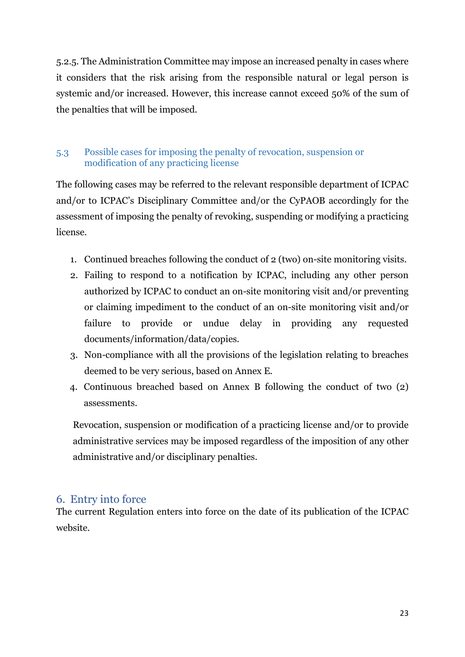5.2.5. The Administration Committee may impose an increased penalty in cases where it considers that the risk arising from the responsible natural or legal person is systemic and/or increased. However, this increase cannot exceed 50% of the sum of the penalties that will be imposed.

#### <span id="page-22-0"></span>5.3 Possible cases for imposing the penalty of revocation, suspension or modification of any practicing license

The following cases may be referred to the relevant responsible department of ICPAC and/or to ICPAC's Disciplinary Committee and/or the CyPAOB accordingly for the assessment of imposing the penalty of revoking, suspending or modifying a practicing license.

- 1. Continued breaches following the conduct of 2 (two) on-site monitoring visits.
- 2. Failing to respond to a notification by ICPAC, including any other person authorized by ICPAC to conduct an on-site monitoring visit and/or preventing or claiming impediment to the conduct of an on-site monitoring visit and/or failure to provide or undue delay in providing any requested documents/information/data/copies.
- 3. Non-compliance with all the provisions of the legislation relating to breaches deemed to be very serious, based on Annex E.
- 4. Continuous breached based on Annex B following the conduct of two (2) assessments.

Revocation, suspension or modification of a practicing license and/or to provide administrative services may be imposed regardless of the imposition of any other administrative and/or disciplinary penalties.

#### <span id="page-22-1"></span>6. Entry into force

The current Regulation enters into force on the date of its publication of the ICPAC website.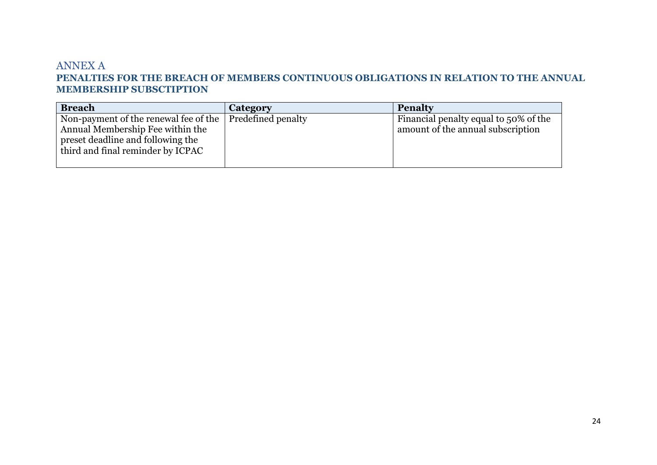#### ANNEX Α **PENALTIES FOR THE BREACH OF MEMBERS CONTINUOUS OBLIGATIONS IN RELATION TO THE ANNUAL MEMBERSHIP SUBSCTIPTION**

<span id="page-23-0"></span>

| <b>Breach</b>                                                                                                                                                   | Category           | <b>Penalty</b>                                                             |
|-----------------------------------------------------------------------------------------------------------------------------------------------------------------|--------------------|----------------------------------------------------------------------------|
| Non-payment of the renewal fee of the $\parallel$<br>Annual Membership Fee within the<br>preset deadline and following the<br>third and final reminder by ICPAC | Predefined penalty | Financial penalty equal to 50% of the<br>amount of the annual subscription |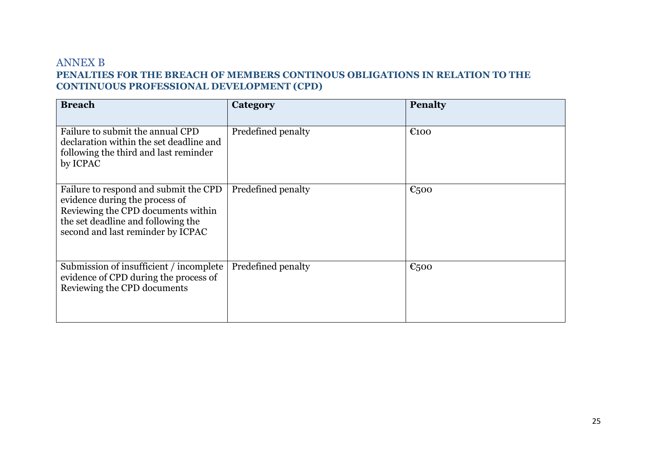#### ANNEX B **PENALTIES FOR THE BREACH OF MEMBERS CONTINOUS OBLIGATIONS IN RELATION TO THE CONTINUOUS PROFESSIONAL DEVELOPMENT (CPD)**

<span id="page-24-0"></span>

| <b>Breach</b>                                                                                                                                                                            | Category           | <b>Penalty</b>            |
|------------------------------------------------------------------------------------------------------------------------------------------------------------------------------------------|--------------------|---------------------------|
| Failure to submit the annual CPD<br>declaration within the set deadline and<br>following the third and last reminder<br>by ICPAC                                                         | Predefined penalty | $\epsilon$ 100            |
| Failure to respond and submit the CPD<br>evidence during the process of<br>Reviewing the CPD documents within<br>the set deadline and following the<br>second and last reminder by ICPAC | Predefined penalty | $\epsilon$ <sub>500</sub> |
| Submission of insufficient / incomplete<br>evidence of CPD during the process of<br>Reviewing the CPD documents                                                                          | Predefined penalty | $\epsilon$ <sub>500</sub> |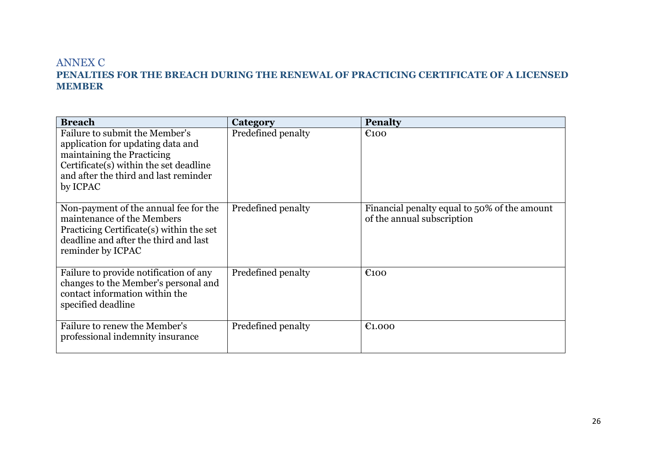#### ANNEX C **PENALTIES FOR THE BREACH DURING THE RENEWAL OF PRACTICING CERTIFICATE OF A LICENSED MEMBER**

<span id="page-25-0"></span>

| <b>Breach</b>                                                                                                                                                                                    | Category           | <b>Penalty</b>                                                             |
|--------------------------------------------------------------------------------------------------------------------------------------------------------------------------------------------------|--------------------|----------------------------------------------------------------------------|
| Failure to submit the Member's<br>application for updating data and<br>maintaining the Practicing<br>Certificate(s) within the set deadline<br>and after the third and last reminder<br>by ICPAC | Predefined penalty | $\epsilon$ 100                                                             |
| Non-payment of the annual fee for the<br>maintenance of the Members<br>Practicing Certificate(s) within the set<br>deadline and after the third and last<br>reminder by ICPAC                    | Predefined penalty | Financial penalty equal to 50% of the amount<br>of the annual subscription |
| Failure to provide notification of any<br>changes to the Member's personal and<br>contact information within the<br>specified deadline                                                           | Predefined penalty | E100                                                                       |
| Failure to renew the Member's<br>professional indemnity insurance                                                                                                                                | Predefined penalty | $\epsilon$ 1.000                                                           |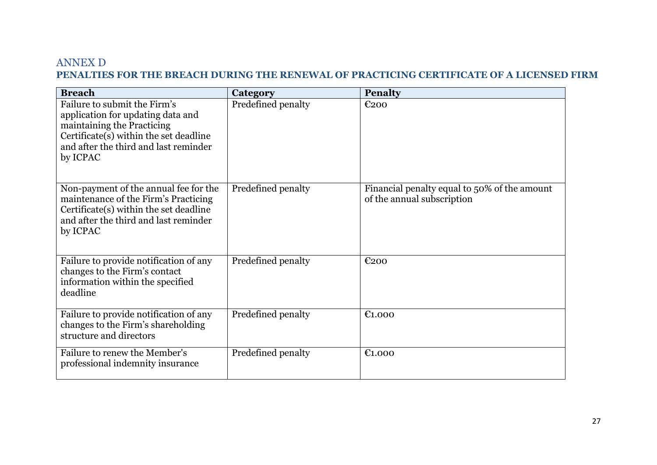#### ANNEX D **PENALTIES FOR THE BREACH DURING THE RENEWAL OF PRACTICING CERTIFICATE OF A LICENSED FIRM**

<span id="page-26-0"></span>

| <b>Breach</b>                                                                                                                                                                                  | Category           | <b>Penalty</b>                                                             |
|------------------------------------------------------------------------------------------------------------------------------------------------------------------------------------------------|--------------------|----------------------------------------------------------------------------|
| Failure to submit the Firm's<br>application for updating data and<br>maintaining the Practicing<br>Certificate(s) within the set deadline<br>and after the third and last reminder<br>by ICPAC | Predefined penalty | €200                                                                       |
| Non-payment of the annual fee for the<br>maintenance of the Firm's Practicing<br>Certificate(s) within the set deadline<br>and after the third and last reminder<br>by ICPAC                   | Predefined penalty | Financial penalty equal to 50% of the amount<br>of the annual subscription |
| Failure to provide notification of any<br>changes to the Firm's contact<br>information within the specified<br>deadline                                                                        | Predefined penalty | $E_{200}$                                                                  |
| Failure to provide notification of any<br>changes to the Firm's shareholding<br>structure and directors                                                                                        | Predefined penalty | $\epsilon$ 1.000                                                           |
| Failure to renew the Member's<br>professional indemnity insurance                                                                                                                              | Predefined penalty | E1.000                                                                     |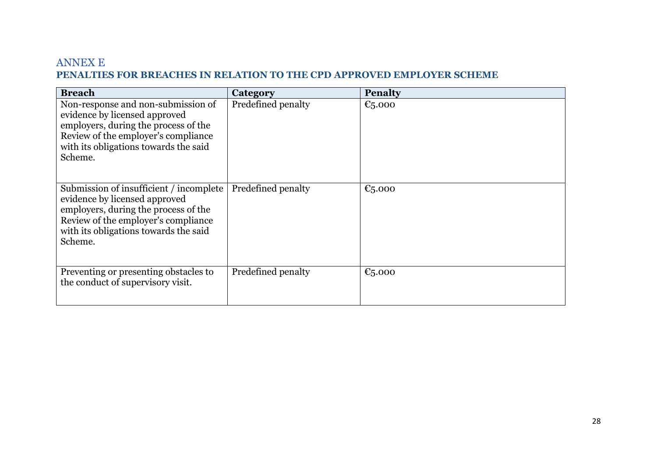#### ANNEX E **PENALTIES FOR BREACHES IN RELATION TO THE CPD APPROVED EMPLOYER SCHEME**

<span id="page-27-0"></span>

| <b>Breach</b>                                                                                                                                                                                               | Category           | <b>Penalty</b> |
|-------------------------------------------------------------------------------------------------------------------------------------------------------------------------------------------------------------|--------------------|----------------|
| Non-response and non-submission of<br>evidence by licensed approved<br>employers, during the process of the<br>Review of the employer's compliance<br>with its obligations towards the said<br>Scheme.      | Predefined penalty | € $5.000$      |
| Submission of insufficient / incomplete<br>evidence by licensed approved<br>employers, during the process of the<br>Review of the employer's compliance<br>with its obligations towards the said<br>Scheme. | Predefined penalty | €5.000         |
| Preventing or presenting obstacles to<br>the conduct of supervisory visit.                                                                                                                                  | Predefined penalty | €5.000         |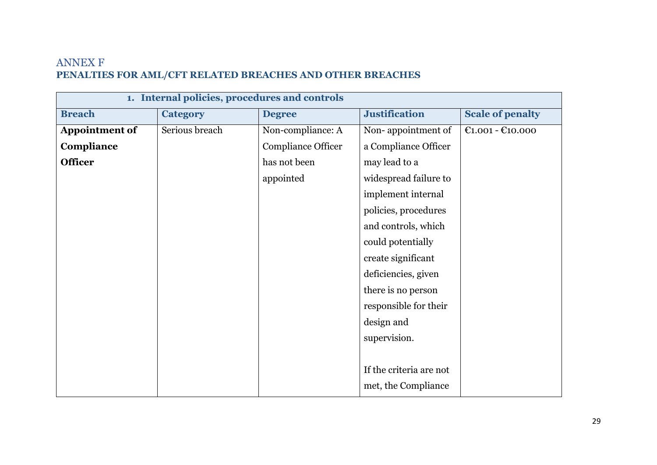# ANNEX F **PENALTIES FOR AML/CFT RELATED BREACHES AND OTHER BREACHES**

<span id="page-28-0"></span>

| 1. Internal policies, procedures and controls |                 |                    |                         |                         |  |
|-----------------------------------------------|-----------------|--------------------|-------------------------|-------------------------|--|
| <b>Breach</b>                                 | <b>Category</b> | <b>Degree</b>      | <b>Justification</b>    | <b>Scale of penalty</b> |  |
| <b>Appointment of</b>                         | Serious breach  | Non-compliance: A  | Non-appointment of      | $E1.001 - E10.000$      |  |
| Compliance                                    |                 | Compliance Officer | a Compliance Officer    |                         |  |
| <b>Officer</b>                                |                 | has not been       | may lead to a           |                         |  |
|                                               |                 | appointed          | widespread failure to   |                         |  |
|                                               |                 |                    | implement internal      |                         |  |
|                                               |                 |                    | policies, procedures    |                         |  |
|                                               |                 |                    | and controls, which     |                         |  |
|                                               |                 |                    | could potentially       |                         |  |
|                                               |                 |                    | create significant      |                         |  |
|                                               |                 |                    | deficiencies, given     |                         |  |
|                                               |                 |                    | there is no person      |                         |  |
|                                               |                 |                    | responsible for their   |                         |  |
|                                               |                 |                    | design and              |                         |  |
|                                               |                 |                    | supervision.            |                         |  |
|                                               |                 |                    |                         |                         |  |
|                                               |                 |                    | If the criteria are not |                         |  |
|                                               |                 |                    | met, the Compliance     |                         |  |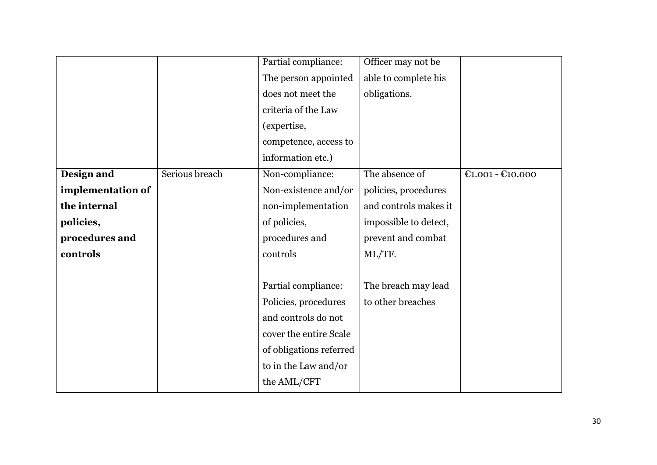|                   |                | Partial compliance:     | Officer may not be    |                    |
|-------------------|----------------|-------------------------|-----------------------|--------------------|
|                   |                | The person appointed    | able to complete his  |                    |
|                   |                | does not meet the       | obligations.          |                    |
|                   |                | criteria of the Law     |                       |                    |
|                   |                | (expertise,             |                       |                    |
|                   |                | competence, access to   |                       |                    |
|                   |                | information etc.)       |                       |                    |
| Design and        | Serious breach | Non-compliance:         | The absence of        | $C1.001 - C10.000$ |
| implementation of |                | Non-existence and/or    | policies, procedures  |                    |
| the internal      |                | non-implementation      | and controls makes it |                    |
| policies,         |                | of policies,            | impossible to detect, |                    |
| procedures and    |                | procedures and          | prevent and combat    |                    |
| controls          |                | controls                | ML/TF.                |                    |
|                   |                |                         |                       |                    |
|                   |                | Partial compliance:     | The breach may lead   |                    |
|                   |                | Policies, procedures    | to other breaches     |                    |
|                   |                | and controls do not     |                       |                    |
|                   |                | cover the entire Scale  |                       |                    |
|                   |                | of obligations referred |                       |                    |
|                   |                | to in the Law and/or    |                       |                    |
|                   |                | the AML/CFT             |                       |                    |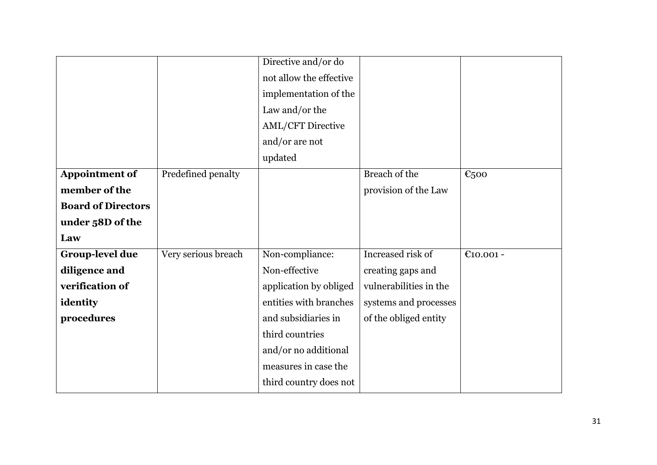|                     | implementation of the    |                                                |           |
|---------------------|--------------------------|------------------------------------------------|-----------|
|                     | Law and/or the           |                                                |           |
|                     | <b>AML/CFT Directive</b> |                                                |           |
|                     | and/or are not           |                                                |           |
|                     | updated                  |                                                |           |
| Predefined penalty  |                          | Breach of the                                  | €500      |
|                     |                          | provision of the Law                           |           |
|                     |                          |                                                |           |
|                     |                          |                                                |           |
|                     |                          |                                                |           |
| Very serious breach | Non-compliance:          | Increased risk of                              | €10.001 - |
|                     | Non-effective            | creating gaps and                              |           |
|                     | application by obliged   | vulnerabilities in the                         |           |
|                     | entities with branches   | systems and processes                          |           |
|                     | and subsidiaries in      | of the obliged entity                          |           |
|                     | third countries          |                                                |           |
|                     | and/or no additional     |                                                |           |
|                     | measures in case the     |                                                |           |
|                     | third country does not   |                                                |           |
|                     |                          | Directive and/or do<br>not allow the effective |           |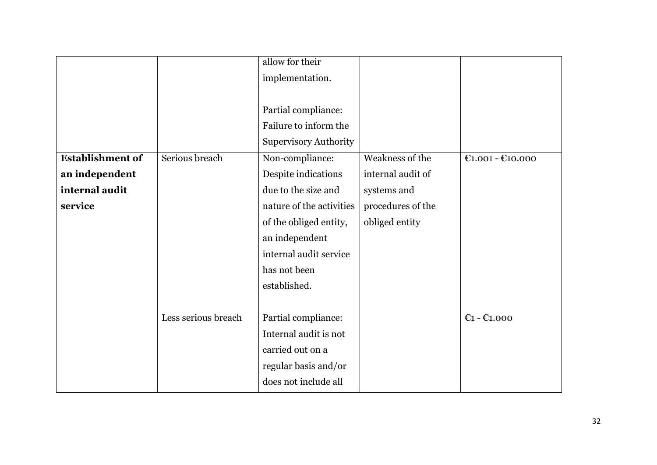|                         |                     | allow for their              |                   |                                     |
|-------------------------|---------------------|------------------------------|-------------------|-------------------------------------|
|                         |                     | implementation.              |                   |                                     |
|                         |                     |                              |                   |                                     |
|                         |                     | Partial compliance:          |                   |                                     |
|                         |                     | Failure to inform the        |                   |                                     |
|                         |                     | <b>Supervisory Authority</b> |                   |                                     |
| <b>Establishment of</b> | Serious breach      | Non-compliance:              | Weakness of the   | $£1.001 - £10.000$                  |
| an independent          |                     | Despite indications          | internal audit of |                                     |
| internal audit          |                     | due to the size and          | systems and       |                                     |
| service                 |                     | nature of the activities     | procedures of the |                                     |
|                         |                     | of the obliged entity,       | obliged entity    |                                     |
|                         |                     | an independent               |                   |                                     |
|                         |                     | internal audit service       |                   |                                     |
|                         |                     | has not been                 |                   |                                     |
|                         |                     | established.                 |                   |                                     |
|                         |                     |                              |                   |                                     |
|                         | Less serious breach | Partial compliance:          |                   | $\mathbb{C}$ 1 - $\mathbb{C}$ 1.000 |
|                         |                     | Internal audit is not        |                   |                                     |
|                         |                     | carried out on a             |                   |                                     |
|                         |                     | regular basis and/or         |                   |                                     |
|                         |                     | does not include all         |                   |                                     |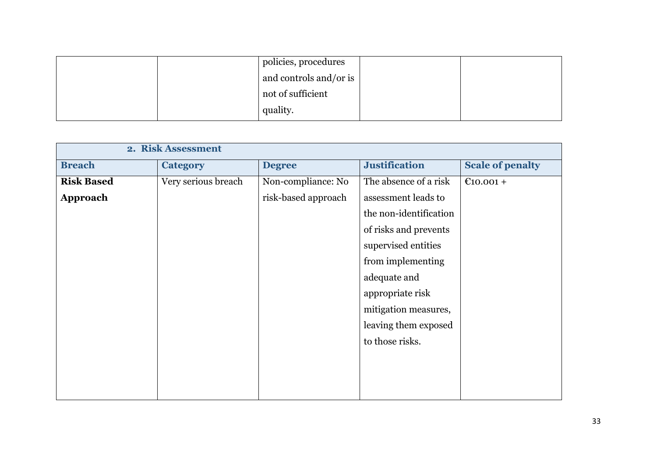|  | policies, procedures   |  |
|--|------------------------|--|
|  | and controls and/or is |  |
|  | not of sufficient      |  |
|  | quality.               |  |

|                   | 2. Risk Assessment  |                     |                        |                         |
|-------------------|---------------------|---------------------|------------------------|-------------------------|
| <b>Breach</b>     | <b>Category</b>     | <b>Degree</b>       | <b>Justification</b>   | <b>Scale of penalty</b> |
| <b>Risk Based</b> | Very serious breach | Non-compliance: No  | The absence of a risk  | $£10.001 +$             |
| <b>Approach</b>   |                     | risk-based approach | assessment leads to    |                         |
|                   |                     |                     | the non-identification |                         |
|                   |                     |                     | of risks and prevents  |                         |
|                   |                     |                     | supervised entities    |                         |
|                   |                     |                     | from implementing      |                         |
|                   |                     |                     | adequate and           |                         |
|                   |                     |                     | appropriate risk       |                         |
|                   |                     |                     | mitigation measures,   |                         |
|                   |                     |                     | leaving them exposed   |                         |
|                   |                     |                     | to those risks.        |                         |
|                   |                     |                     |                        |                         |
|                   |                     |                     |                        |                         |
|                   |                     |                     |                        |                         |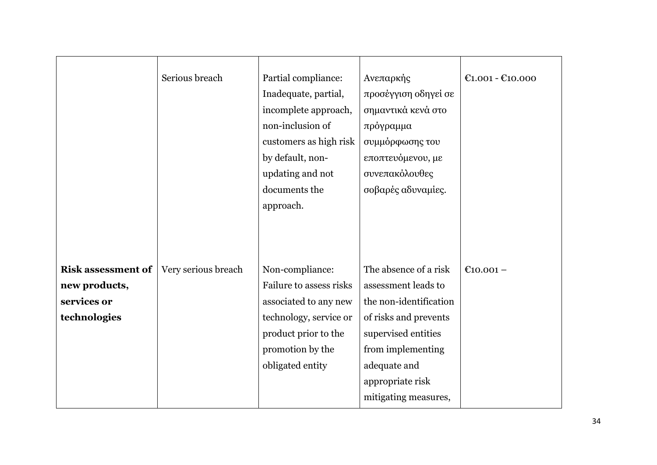|                                                                           | Serious breach      | Partial compliance:<br>Inadequate, partial,<br>incomplete approach,<br>non-inclusion of<br>customers as high risk<br>by default, non-<br>updating and not<br>documents the<br>approach. | Ανεπαρκής<br>προσέγγιση οδηγεί σε<br>σημαντικά κενά στο<br>πρόγραμμα<br>συμμόρφωσης του<br>εποπτευόμενου, με<br>συνεπακόλουθες<br>σοβαρές αδυναμίες.                            | $£1.001 - £10.000$ |
|---------------------------------------------------------------------------|---------------------|-----------------------------------------------------------------------------------------------------------------------------------------------------------------------------------------|---------------------------------------------------------------------------------------------------------------------------------------------------------------------------------|--------------------|
| <b>Risk assessment of</b><br>new products,<br>services or<br>technologies | Very serious breach | Non-compliance:<br>Failure to assess risks<br>associated to any new<br>technology, service or<br>product prior to the<br>promotion by the<br>obligated entity                           | The absence of a risk<br>assessment leads to<br>the non-identification<br>of risks and prevents<br>supervised entities<br>from implementing<br>adequate and<br>appropriate risk | €10.001 –          |
|                                                                           |                     |                                                                                                                                                                                         | mitigating measures,                                                                                                                                                            |                    |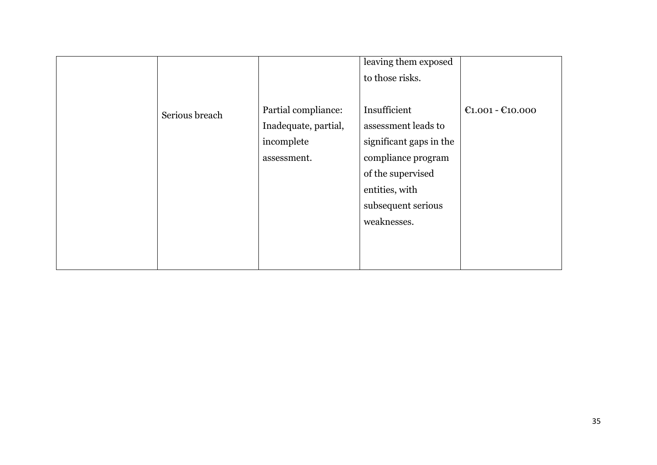|                |                      | leaving them exposed<br>to those risks. |                    |
|----------------|----------------------|-----------------------------------------|--------------------|
| Serious breach | Partial compliance:  | Insufficient                            | $£1.001 - £10.000$ |
|                | Inadequate, partial, | assessment leads to                     |                    |
|                | incomplete           | significant gaps in the                 |                    |
|                | assessment.          | compliance program                      |                    |
|                |                      | of the supervised                       |                    |
|                |                      | entities, with                          |                    |
|                |                      | subsequent serious                      |                    |
|                |                      | weaknesses.                             |                    |
|                |                      |                                         |                    |
|                |                      |                                         |                    |
|                |                      |                                         |                    |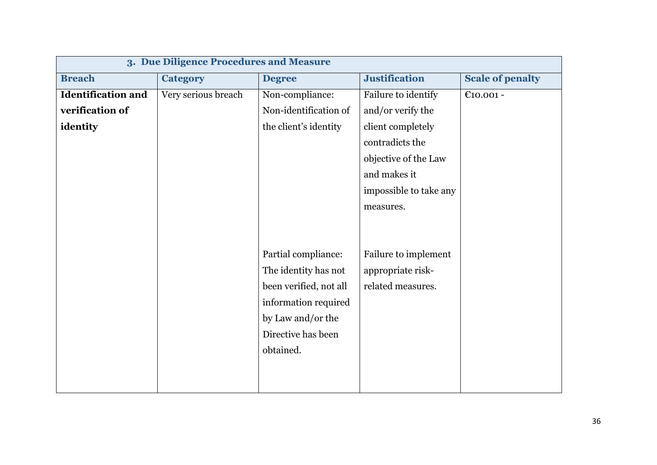| 3. Due Diligence Procedures and Measure |                     |                        |                        |                         |
|-----------------------------------------|---------------------|------------------------|------------------------|-------------------------|
| <b>Breach</b>                           | <b>Category</b>     | <b>Degree</b>          | <b>Justification</b>   | <b>Scale of penalty</b> |
| <b>Identification and</b>               | Very serious breach | Non-compliance:        | Failure to identify    | €10.001 -               |
| verification of                         |                     | Non-identification of  | and/or verify the      |                         |
| identity                                |                     | the client's identity  | client completely      |                         |
|                                         |                     |                        | contradicts the        |                         |
|                                         |                     |                        | objective of the Law   |                         |
|                                         |                     |                        | and makes it           |                         |
|                                         |                     |                        | impossible to take any |                         |
|                                         |                     |                        | measures.              |                         |
|                                         |                     |                        |                        |                         |
|                                         |                     |                        |                        |                         |
|                                         |                     | Partial compliance:    | Failure to implement   |                         |
|                                         |                     | The identity has not   | appropriate risk-      |                         |
|                                         |                     | been verified, not all | related measures.      |                         |
|                                         |                     | information required   |                        |                         |
|                                         |                     | by Law and/or the      |                        |                         |
|                                         |                     | Directive has been     |                        |                         |
|                                         |                     | obtained.              |                        |                         |
|                                         |                     |                        |                        |                         |
|                                         |                     |                        |                        |                         |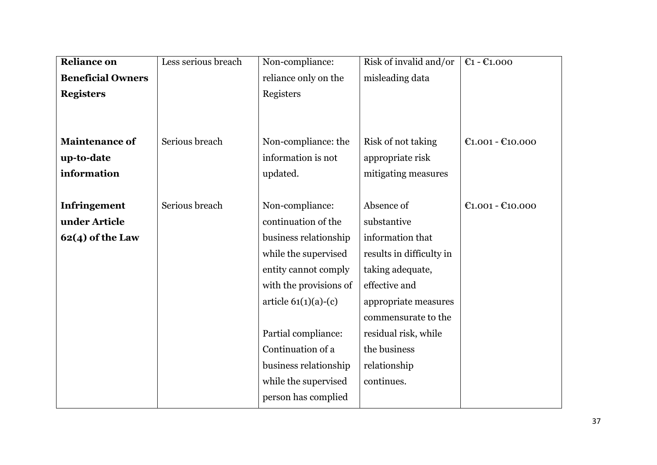| <b>Reliance on</b>       | Less serious breach | Non-compliance:        | Risk of invalid and/or   | $E1 - E1.000$      |
|--------------------------|---------------------|------------------------|--------------------------|--------------------|
| <b>Beneficial Owners</b> |                     | reliance only on the   | misleading data          |                    |
| <b>Registers</b>         |                     | Registers              |                          |                    |
|                          |                     |                        |                          |                    |
|                          |                     |                        |                          |                    |
| <b>Maintenance of</b>    | Serious breach      | Non-compliance: the    | Risk of not taking       | $E1.001 - E10.000$ |
| up-to-date               |                     | information is not     | appropriate risk         |                    |
| information              |                     | updated.               | mitigating measures      |                    |
|                          |                     |                        |                          |                    |
| Infringement             | Serious breach      | Non-compliance:        | Absence of               | $E1.001 - E10.000$ |
| under Article            |                     | continuation of the    | substantive              |                    |
| $62(4)$ of the Law       |                     | business relationship  | information that         |                    |
|                          |                     | while the supervised   | results in difficulty in |                    |
|                          |                     | entity cannot comply   | taking adequate,         |                    |
|                          |                     | with the provisions of | effective and            |                    |
|                          |                     | article $61(1)(a)-(c)$ | appropriate measures     |                    |
|                          |                     |                        | commensurate to the      |                    |
|                          |                     | Partial compliance:    | residual risk, while     |                    |
|                          |                     | Continuation of a      | the business             |                    |
|                          |                     | business relationship  | relationship             |                    |
|                          |                     | while the supervised   | continues.               |                    |
|                          |                     | person has complied    |                          |                    |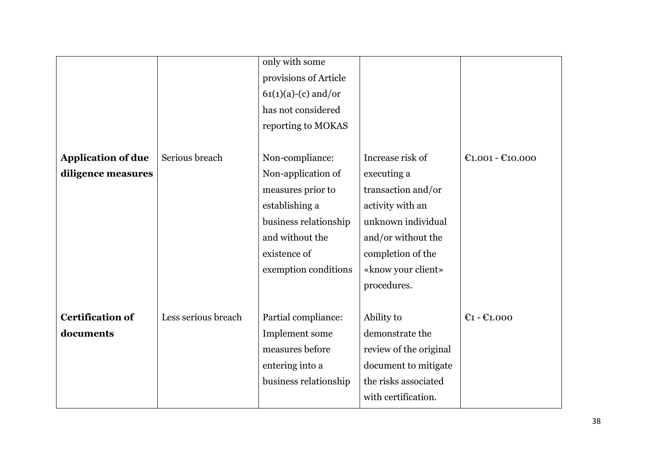|                           |                     | only with some        |                        |                    |
|---------------------------|---------------------|-----------------------|------------------------|--------------------|
|                           |                     | provisions of Article |                        |                    |
|                           |                     | $61(1)(a)-(c)$ and/or |                        |                    |
|                           |                     | has not considered    |                        |                    |
|                           |                     | reporting to MOKAS    |                        |                    |
|                           |                     |                       |                        |                    |
| <b>Application of due</b> | Serious breach      | Non-compliance:       | Increase risk of       | $C1.001 - C10.000$ |
| diligence measures        |                     | Non-application of    | executing a            |                    |
|                           |                     | measures prior to     | transaction and/or     |                    |
|                           |                     | establishing a        | activity with an       |                    |
|                           |                     | business relationship | unknown individual     |                    |
|                           |                     | and without the       | and/or without the     |                    |
|                           |                     | existence of          | completion of the      |                    |
|                           |                     | exemption conditions  | «know your client»     |                    |
|                           |                     |                       | procedures.            |                    |
|                           |                     |                       |                        |                    |
| <b>Certification of</b>   | Less serious breach | Partial compliance:   | Ability to             | $E1 - E1.000$      |
| documents                 |                     | Implement some        | demonstrate the        |                    |
|                           |                     | measures before       | review of the original |                    |
|                           |                     | entering into a       | document to mitigate   |                    |
|                           |                     | business relationship | the risks associated   |                    |
|                           |                     |                       | with certification.    |                    |
|                           |                     |                       |                        |                    |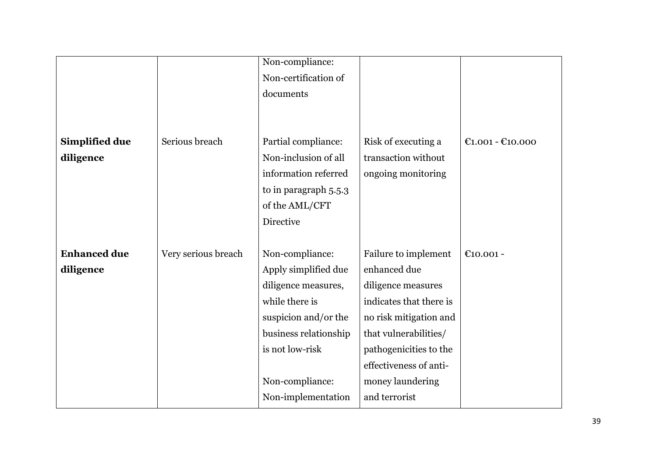|                     |                     | Non-compliance:       |                         |                                                          |
|---------------------|---------------------|-----------------------|-------------------------|----------------------------------------------------------|
|                     |                     | Non-certification of  |                         |                                                          |
|                     |                     | documents             |                         |                                                          |
|                     |                     |                       |                         |                                                          |
|                     |                     |                       |                         |                                                          |
| Simplified due      | Serious breach      | Partial compliance:   | Risk of executing a     | $\text{\textsterling}1.001 - \text{\textsterling}10.000$ |
| diligence           |                     | Non-inclusion of all  | transaction without     |                                                          |
|                     |                     | information referred  | ongoing monitoring      |                                                          |
|                     |                     | to in paragraph 5.5.3 |                         |                                                          |
|                     |                     | of the AML/CFT        |                         |                                                          |
|                     |                     | Directive             |                         |                                                          |
|                     |                     |                       |                         |                                                          |
| <b>Enhanced due</b> | Very serious breach | Non-compliance:       | Failure to implement    | €10.001 -                                                |
| diligence           |                     | Apply simplified due  | enhanced due            |                                                          |
|                     |                     | diligence measures,   | diligence measures      |                                                          |
|                     |                     | while there is        | indicates that there is |                                                          |
|                     |                     | suspicion and/or the  | no risk mitigation and  |                                                          |
|                     |                     | business relationship | that vulnerabilities/   |                                                          |
|                     |                     | is not low-risk       | pathogenicities to the  |                                                          |
|                     |                     |                       | effectiveness of anti-  |                                                          |
|                     |                     | Non-compliance:       | money laundering        |                                                          |
|                     |                     | Non-implementation    | and terrorist           |                                                          |
|                     |                     |                       |                         |                                                          |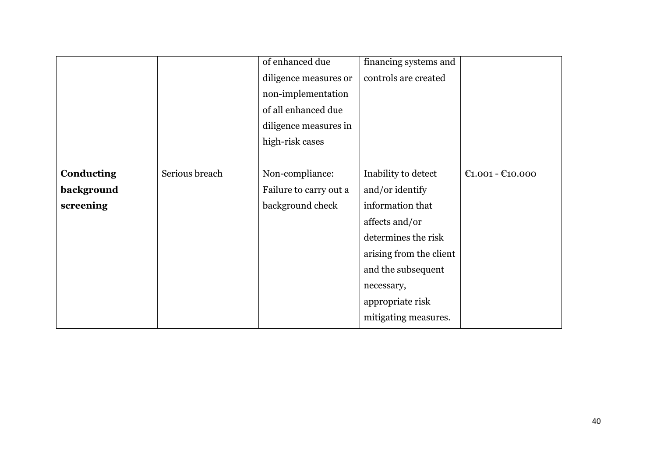|            |                | of enhanced due        | financing systems and   |                    |
|------------|----------------|------------------------|-------------------------|--------------------|
|            |                | diligence measures or  | controls are created    |                    |
|            |                | non-implementation     |                         |                    |
|            |                | of all enhanced due    |                         |                    |
|            |                | diligence measures in  |                         |                    |
|            |                | high-risk cases        |                         |                    |
|            |                |                        |                         |                    |
| Conducting | Serious breach | Non-compliance:        | Inability to detect     | $C1.001 - C10.000$ |
| background |                | Failure to carry out a | and/or identify         |                    |
| screening  |                | background check       | information that        |                    |
|            |                |                        | affects and/or          |                    |
|            |                |                        | determines the risk     |                    |
|            |                |                        | arising from the client |                    |
|            |                |                        | and the subsequent      |                    |
|            |                |                        | necessary,              |                    |
|            |                |                        | appropriate risk        |                    |
|            |                |                        | mitigating measures.    |                    |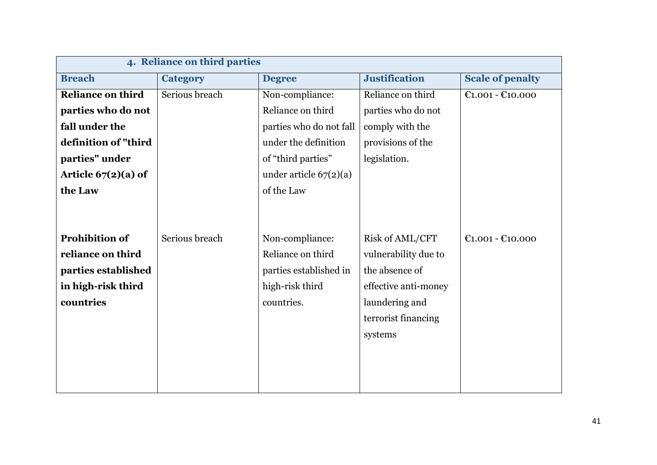|                          | 4. Reliance on third parties |                          |                      |                         |  |
|--------------------------|------------------------------|--------------------------|----------------------|-------------------------|--|
| <b>Breach</b>            | <b>Category</b>              | <b>Degree</b>            | <b>Justification</b> | <b>Scale of penalty</b> |  |
| <b>Reliance on third</b> | Serious breach               | Non-compliance:          | Reliance on third    | $E1.001 - E10.000$      |  |
| parties who do not       |                              | Reliance on third        | parties who do not   |                         |  |
| fall under the           |                              | parties who do not fall  | comply with the      |                         |  |
| definition of "third     |                              | under the definition     | provisions of the    |                         |  |
| parties" under           |                              | of "third parties"       | legislation.         |                         |  |
| Article $67(2)(a)$ of    |                              | under article $67(2)(a)$ |                      |                         |  |
| the Law                  |                              | of the Law               |                      |                         |  |
|                          |                              |                          |                      |                         |  |
|                          |                              |                          |                      |                         |  |
| <b>Prohibition of</b>    | Serious breach               | Non-compliance:          | Risk of AML/CFT      | $E1.001 - E10.000$      |  |
| reliance on third        |                              | Reliance on third        | vulnerability due to |                         |  |
| parties established      |                              | parties established in   | the absence of       |                         |  |
| in high-risk third       |                              | high-risk third          | effective anti-money |                         |  |
| countries                |                              | countries.               | laundering and       |                         |  |
|                          |                              |                          | terrorist financing  |                         |  |
|                          |                              |                          | systems              |                         |  |
|                          |                              |                          |                      |                         |  |
|                          |                              |                          |                      |                         |  |
|                          |                              |                          |                      |                         |  |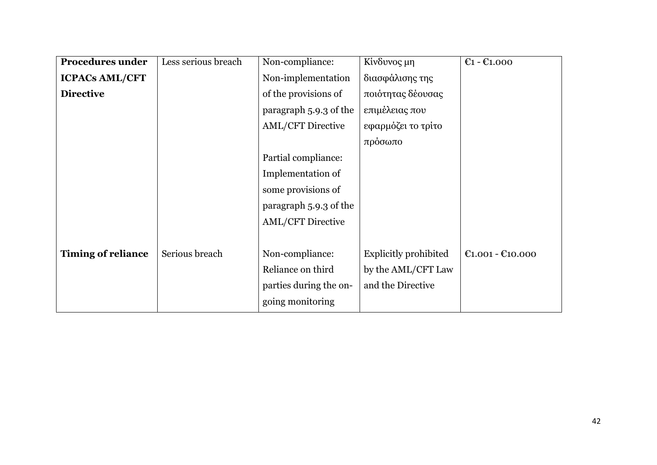| <b>Procedures under</b>   | Less serious breach | Non-compliance:          | Κίνδυνος μη           | $E1 - E1.000$                                            |
|---------------------------|---------------------|--------------------------|-----------------------|----------------------------------------------------------|
| <b>ICPACs AML/CFT</b>     |                     | Non-implementation       | διασφάλισης της       |                                                          |
| <b>Directive</b>          |                     | of the provisions of     | ποιότητας δέουσας     |                                                          |
|                           |                     | paragraph 5.9.3 of the   | επιμέλειας που        |                                                          |
|                           |                     | <b>AML/CFT Directive</b> | εφαρμόζει το τρίτο    |                                                          |
|                           |                     |                          | πρόσωπο               |                                                          |
|                           |                     | Partial compliance:      |                       |                                                          |
|                           |                     | Implementation of        |                       |                                                          |
|                           |                     | some provisions of       |                       |                                                          |
|                           |                     | paragraph 5.9.3 of the   |                       |                                                          |
|                           |                     | <b>AML/CFT Directive</b> |                       |                                                          |
|                           |                     |                          |                       |                                                          |
| <b>Timing of reliance</b> | Serious breach      | Non-compliance:          | Explicitly prohibited | $\text{\textsterling}1.001 - \text{\textsterling}10.000$ |
|                           |                     | Reliance on third        | by the AML/CFT Law    |                                                          |
|                           |                     | parties during the on-   | and the Directive     |                                                          |
|                           |                     | going monitoring         |                       |                                                          |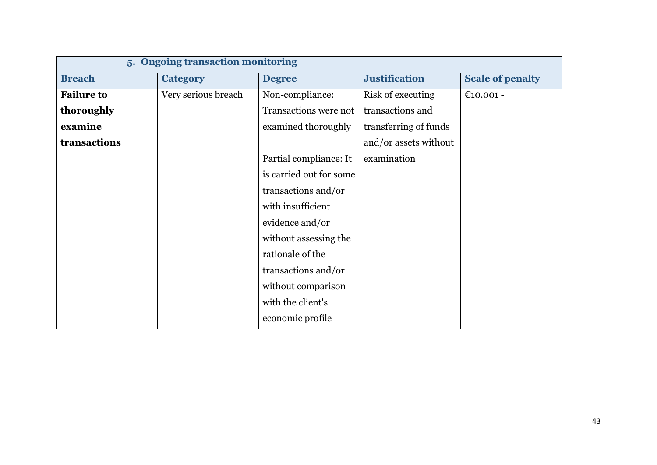|                   | 5. Ongoing transaction monitoring |                         |                       |                         |  |
|-------------------|-----------------------------------|-------------------------|-----------------------|-------------------------|--|
| <b>Breach</b>     | <b>Category</b>                   | <b>Degree</b>           | <b>Justification</b>  | <b>Scale of penalty</b> |  |
| <b>Failure to</b> | Very serious breach               | Non-compliance:         | Risk of executing     | $€10.001 -$             |  |
| thoroughly        |                                   | Transactions were not   | transactions and      |                         |  |
| examine           |                                   | examined thoroughly     | transferring of funds |                         |  |
| transactions      |                                   |                         | and/or assets without |                         |  |
|                   |                                   | Partial compliance: It  | examination           |                         |  |
|                   |                                   | is carried out for some |                       |                         |  |
|                   |                                   | transactions and/or     |                       |                         |  |
|                   |                                   | with insufficient       |                       |                         |  |
|                   |                                   | evidence and/or         |                       |                         |  |
|                   |                                   | without assessing the   |                       |                         |  |
|                   |                                   | rationale of the        |                       |                         |  |
|                   |                                   | transactions and/or     |                       |                         |  |
|                   |                                   | without comparison      |                       |                         |  |
|                   |                                   | with the client's       |                       |                         |  |
|                   |                                   | economic profile        |                       |                         |  |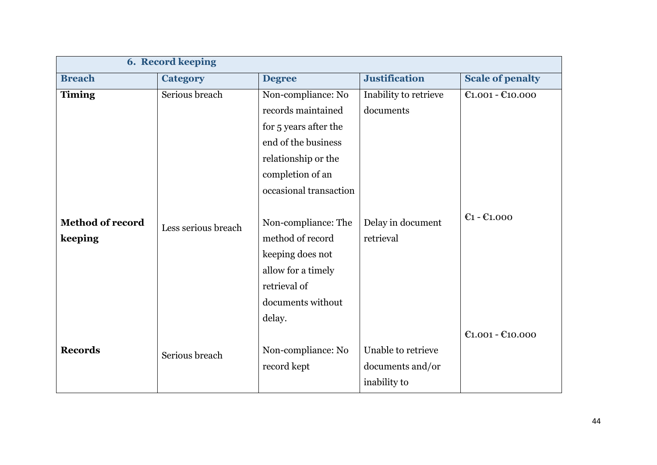|                         | <b>6. Record keeping</b> |                        |                       |                                                          |  |
|-------------------------|--------------------------|------------------------|-----------------------|----------------------------------------------------------|--|
| <b>Breach</b>           | <b>Category</b>          | <b>Degree</b>          | <b>Justification</b>  | <b>Scale of penalty</b>                                  |  |
| <b>Timing</b>           | Serious breach           | Non-compliance: No     | Inability to retrieve | $C1.001 - C10.000$                                       |  |
|                         |                          | records maintained     | documents             |                                                          |  |
|                         |                          | for 5 years after the  |                       |                                                          |  |
|                         |                          | end of the business    |                       |                                                          |  |
|                         |                          | relationship or the    |                       |                                                          |  |
|                         |                          | completion of an       |                       |                                                          |  |
|                         |                          | occasional transaction |                       |                                                          |  |
|                         |                          |                        |                       |                                                          |  |
| <b>Method of record</b> | Less serious breach      | Non-compliance: The    | Delay in document     | $E1 - E1,000$                                            |  |
| keeping                 |                          | method of record       | retrieval             |                                                          |  |
|                         |                          | keeping does not       |                       |                                                          |  |
|                         |                          | allow for a timely     |                       |                                                          |  |
|                         |                          | retrieval of           |                       |                                                          |  |
|                         |                          | documents without      |                       |                                                          |  |
|                         |                          | delay.                 |                       |                                                          |  |
|                         |                          |                        |                       | $\text{\textsterling}1.001 - \text{\textsterling}10.000$ |  |
| <b>Records</b>          | Serious breach           | Non-compliance: No     | Unable to retrieve    |                                                          |  |
|                         |                          | record kept            | documents and/or      |                                                          |  |
|                         |                          |                        | inability to          |                                                          |  |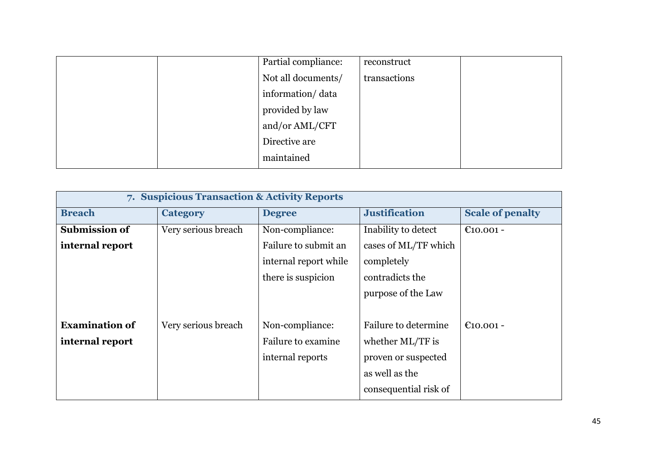|  | Partial compliance: | reconstruct  |  |
|--|---------------------|--------------|--|
|  | Not all documents/  | transactions |  |
|  | information/data    |              |  |
|  | provided by law     |              |  |
|  | and/or AML/CFT      |              |  |
|  | Directive are       |              |  |
|  | maintained          |              |  |

| 7. Suspicious Transaction & Activity Reports |                     |                       |                       |                         |  |
|----------------------------------------------|---------------------|-----------------------|-----------------------|-------------------------|--|
| <b>Breach</b>                                | <b>Category</b>     | <b>Degree</b>         | <b>Justification</b>  | <b>Scale of penalty</b> |  |
| <b>Submission of</b>                         | Very serious breach | Non-compliance:       | Inability to detect   | €10.001 -               |  |
| internal report                              |                     | Failure to submit an  | cases of ML/TF which  |                         |  |
|                                              |                     | internal report while | completely            |                         |  |
|                                              |                     | there is suspicion    | contradicts the       |                         |  |
|                                              |                     |                       | purpose of the Law    |                         |  |
|                                              |                     |                       |                       |                         |  |
| <b>Examination of</b>                        | Very serious breach | Non-compliance:       | Failure to determine  | €10.001 -               |  |
| internal report                              |                     | Failure to examine    | whether ML/TF is      |                         |  |
|                                              |                     | internal reports      | proven or suspected   |                         |  |
|                                              |                     |                       | as well as the        |                         |  |
|                                              |                     |                       | consequential risk of |                         |  |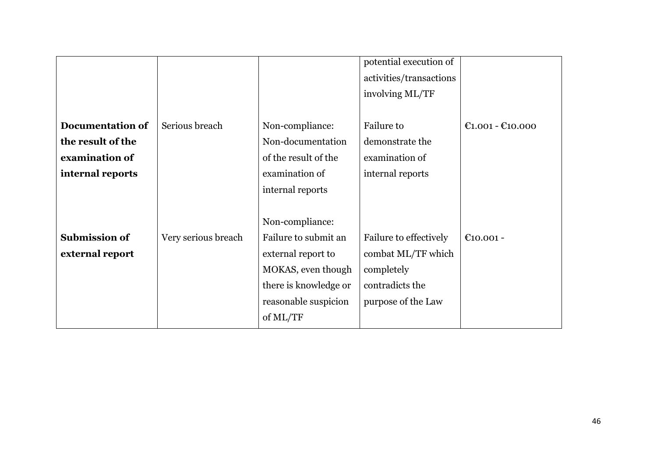|                         |                     |                       | potential execution of  |                                                          |
|-------------------------|---------------------|-----------------------|-------------------------|----------------------------------------------------------|
|                         |                     |                       | activities/transactions |                                                          |
|                         |                     |                       | involving ML/TF         |                                                          |
|                         |                     |                       |                         |                                                          |
| <b>Documentation of</b> | Serious breach      | Non-compliance:       | Failure to              | $\text{\textsterling}1.001 - \text{\textsterling}10.000$ |
| the result of the       |                     | Non-documentation     | demonstrate the         |                                                          |
| examination of          |                     | of the result of the  | examination of          |                                                          |
| internal reports        |                     | examination of        | internal reports        |                                                          |
|                         |                     | internal reports      |                         |                                                          |
|                         |                     |                       |                         |                                                          |
|                         |                     | Non-compliance:       |                         |                                                          |
| <b>Submission of</b>    | Very serious breach | Failure to submit an  | Failure to effectively  | €10.001 -                                                |
| external report         |                     | external report to    | combat ML/TF which      |                                                          |
|                         |                     | MOKAS, even though    | completely              |                                                          |
|                         |                     | there is knowledge or | contradicts the         |                                                          |
|                         |                     | reasonable suspicion  | purpose of the Law      |                                                          |
|                         |                     | of ML/TF              |                         |                                                          |
|                         |                     |                       |                         |                                                          |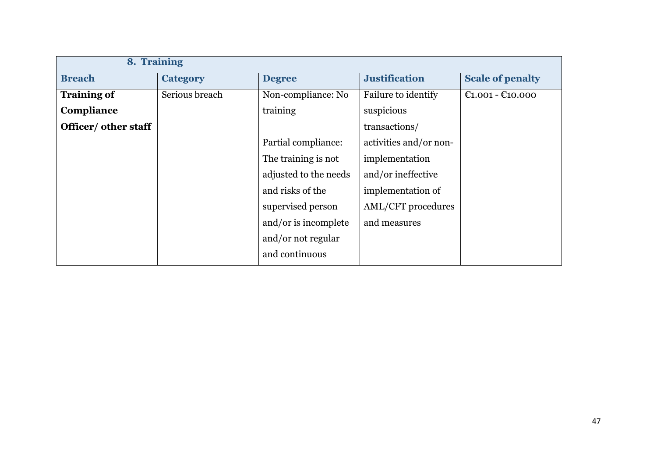| 8. Training          |                 |                       |                        |                         |
|----------------------|-----------------|-----------------------|------------------------|-------------------------|
| <b>Breach</b>        | <b>Category</b> | <b>Degree</b>         | <b>Justification</b>   | <b>Scale of penalty</b> |
| <b>Training of</b>   | Serious breach  | Non-compliance: No    | Failure to identify    | $C1.001 - C10.000$      |
| Compliance           |                 | training              | suspicious             |                         |
| Officer/ other staff |                 |                       | transactions/          |                         |
|                      |                 | Partial compliance:   | activities and/or non- |                         |
|                      |                 | The training is not   | implementation         |                         |
|                      |                 | adjusted to the needs | and/or ineffective     |                         |
|                      |                 | and risks of the      | implementation of      |                         |
|                      |                 | supervised person     | AML/CFT procedures     |                         |
|                      |                 | and/or is incomplete  | and measures           |                         |
|                      |                 | and/or not regular    |                        |                         |
|                      |                 | and continuous        |                        |                         |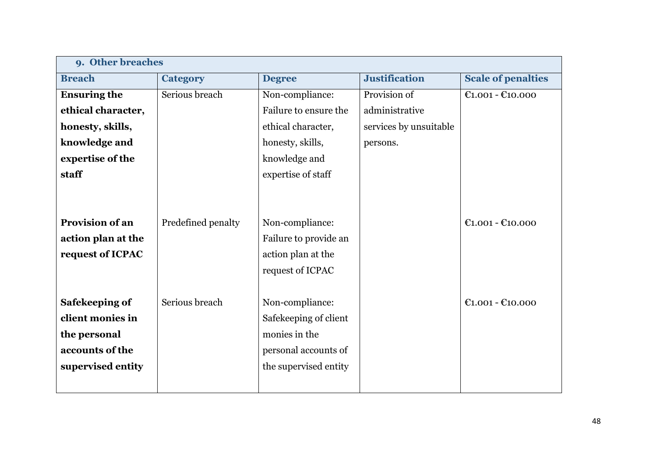| 9. Other breaches      |                    |                       |                        |                           |
|------------------------|--------------------|-----------------------|------------------------|---------------------------|
| <b>Breach</b>          | <b>Category</b>    | <b>Degree</b>         | <b>Justification</b>   | <b>Scale of penalties</b> |
| <b>Ensuring the</b>    | Serious breach     | Non-compliance:       | Provision of           | $E1.001 - E10.000$        |
| ethical character,     |                    | Failure to ensure the | administrative         |                           |
| honesty, skills,       |                    | ethical character,    | services by unsuitable |                           |
| knowledge and          |                    | honesty, skills,      | persons.               |                           |
| expertise of the       |                    | knowledge and         |                        |                           |
| staff                  |                    | expertise of staff    |                        |                           |
|                        |                    |                       |                        |                           |
|                        |                    |                       |                        |                           |
| <b>Provision of an</b> | Predefined penalty | Non-compliance:       |                        | $C1.001 - C10.000$        |
| action plan at the     |                    | Failure to provide an |                        |                           |
| request of ICPAC       |                    | action plan at the    |                        |                           |
|                        |                    | request of ICPAC      |                        |                           |
|                        |                    |                       |                        |                           |
| Safekeeping of         | Serious breach     | Non-compliance:       |                        | $E1.001 - E10.000$        |
| client monies in       |                    | Safekeeping of client |                        |                           |
| the personal           |                    | monies in the         |                        |                           |
| accounts of the        |                    | personal accounts of  |                        |                           |
| supervised entity      |                    | the supervised entity |                        |                           |
|                        |                    |                       |                        |                           |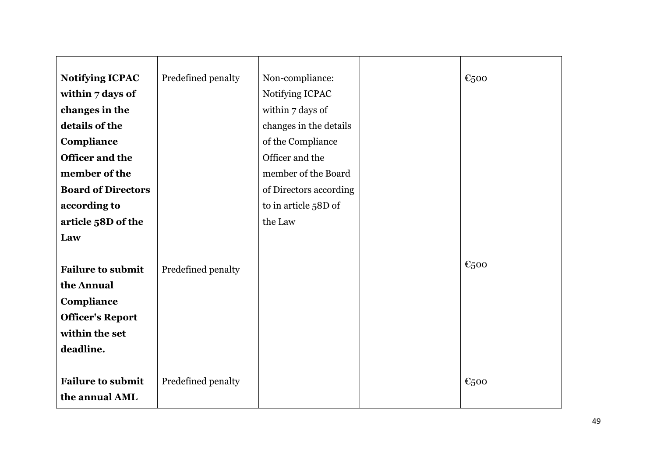| <b>Notifying ICPAC</b>    | Predefined penalty | Non-compliance:        | €500      |
|---------------------------|--------------------|------------------------|-----------|
| within 7 days of          |                    | Notifying ICPAC        |           |
| changes in the            |                    | within 7 days of       |           |
| details of the            |                    | changes in the details |           |
| Compliance                |                    | of the Compliance      |           |
| Officer and the           |                    | Officer and the        |           |
| member of the             |                    | member of the Board    |           |
| <b>Board of Directors</b> |                    | of Directors according |           |
| according to              |                    | to in article 58D of   |           |
| article 58D of the        |                    | the Law                |           |
| Law                       |                    |                        |           |
|                           |                    |                        |           |
| <b>Failure to submit</b>  | Predefined penalty |                        | €500      |
| the Annual                |                    |                        |           |
| Compliance                |                    |                        |           |
| <b>Officer's Report</b>   |                    |                        |           |
| within the set            |                    |                        |           |
| deadline.                 |                    |                        |           |
|                           |                    |                        |           |
| <b>Failure to submit</b>  | Predefined penalty |                        | $E_{500}$ |
| the annual AML            |                    |                        |           |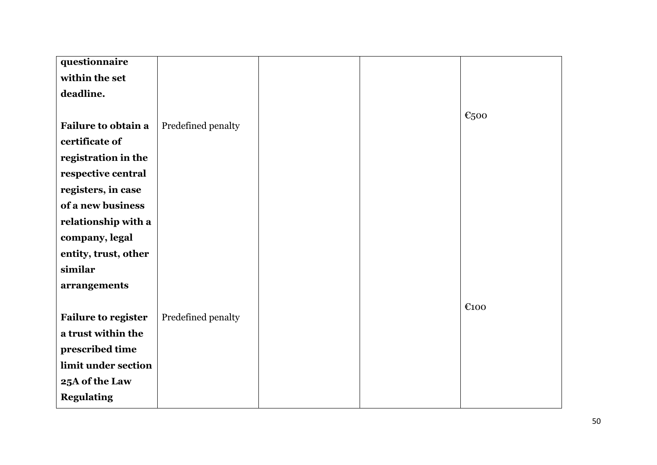| questionnaire              |                    |  |      |
|----------------------------|--------------------|--|------|
| within the set             |                    |  |      |
| deadline.                  |                    |  |      |
|                            |                    |  |      |
| Failure to obtain a        | Predefined penalty |  | €500 |
| certificate of             |                    |  |      |
|                            |                    |  |      |
| registration in the        |                    |  |      |
| respective central         |                    |  |      |
| registers, in case         |                    |  |      |
| of a new business          |                    |  |      |
| relationship with a        |                    |  |      |
| company, legal             |                    |  |      |
| entity, trust, other       |                    |  |      |
| similar                    |                    |  |      |
| arrangements               |                    |  |      |
|                            |                    |  | €100 |
| <b>Failure to register</b> | Predefined penalty |  |      |
| a trust within the         |                    |  |      |
| prescribed time            |                    |  |      |
| limit under section        |                    |  |      |
| 25A of the Law             |                    |  |      |
| <b>Regulating</b>          |                    |  |      |
|                            |                    |  |      |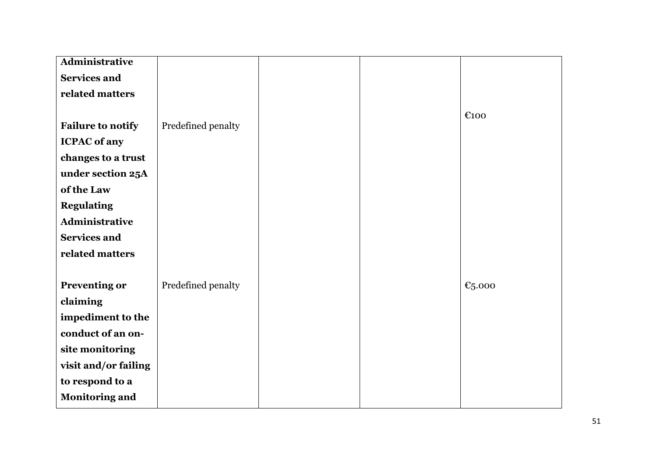| Administrative           |                    |  |                    |
|--------------------------|--------------------|--|--------------------|
| <b>Services and</b>      |                    |  |                    |
| related matters          |                    |  |                    |
|                          |                    |  |                    |
| <b>Failure to notify</b> | Predefined penalty |  | €100               |
| <b>ICPAC</b> of any      |                    |  |                    |
| changes to a trust       |                    |  |                    |
| under section 25A        |                    |  |                    |
| of the Law               |                    |  |                    |
| <b>Regulating</b>        |                    |  |                    |
| Administrative           |                    |  |                    |
| <b>Services and</b>      |                    |  |                    |
| related matters          |                    |  |                    |
|                          |                    |  |                    |
| <b>Preventing or</b>     | Predefined penalty |  | $\epsilon_{5.000}$ |
| claiming                 |                    |  |                    |
| impediment to the        |                    |  |                    |
| conduct of an on-        |                    |  |                    |
| site monitoring          |                    |  |                    |
| visit and/or failing     |                    |  |                    |
| to respond to a          |                    |  |                    |
| <b>Monitoring and</b>    |                    |  |                    |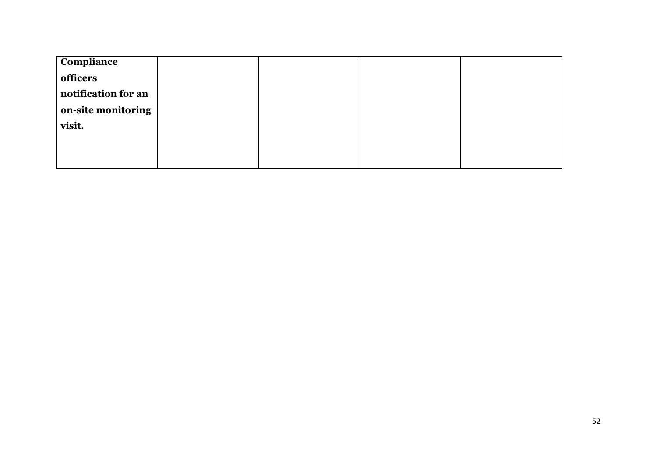| Compliance          |  |  |
|---------------------|--|--|
| officers            |  |  |
| notification for an |  |  |
| on-site monitoring  |  |  |
| visit.              |  |  |
|                     |  |  |
|                     |  |  |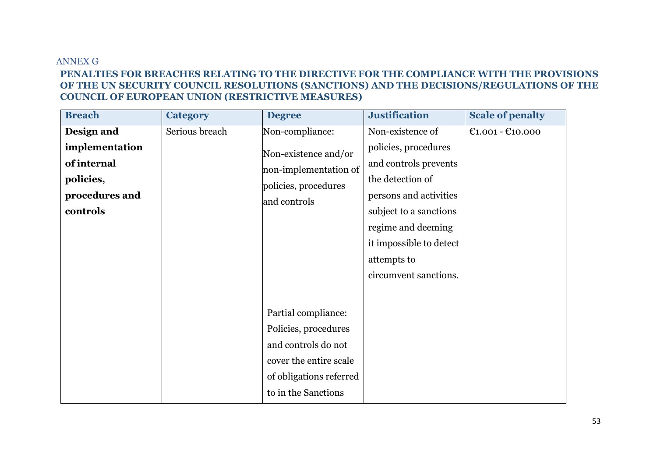#### ANNEX G **PENALTIES FOR BREACHES RELATING TO THE DIRECTIVE FOR THE COMPLIANCE WITH THE PROVISIONS OF THE UN SECURITY COUNCIL RESOLUTIONS (SANCTIONS) AND THE DECISIONS/REGULATIONS OF THE COUNCIL OF EUROPEAN UNION (RESTRICTIVE MEASURES)**

<span id="page-52-0"></span>

| <b>Breach</b>                                                                          | <b>Category</b> | <b>Degree</b>                                                                                                                                  | <b>Justification</b>                                                                                                                                                                                                               | <b>Scale of penalty</b> |
|----------------------------------------------------------------------------------------|-----------------|------------------------------------------------------------------------------------------------------------------------------------------------|------------------------------------------------------------------------------------------------------------------------------------------------------------------------------------------------------------------------------------|-------------------------|
| Design and<br>implementation<br>of internal<br>policies,<br>procedures and<br>controls | Serious breach  | Non-compliance:<br>Non-existence and/or<br>non-implementation of<br>policies, procedures<br>and controls                                       | Non-existence of<br>policies, procedures<br>and controls prevents<br>the detection of<br>persons and activities<br>subject to a sanctions<br>regime and deeming<br>it impossible to detect<br>attempts to<br>circumvent sanctions. | $E1.001 - E10.000$      |
|                                                                                        |                 | Partial compliance:<br>Policies, procedures<br>and controls do not<br>cover the entire scale<br>of obligations referred<br>to in the Sanctions |                                                                                                                                                                                                                                    |                         |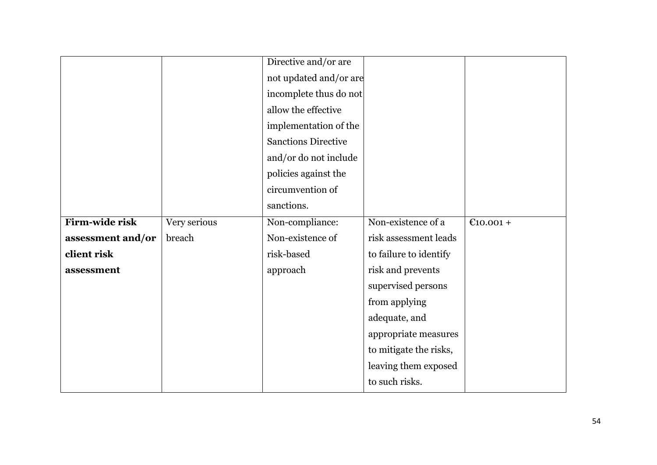|                   |              | Directive and/or are       |                        |           |
|-------------------|--------------|----------------------------|------------------------|-----------|
|                   |              | not updated and/or are     |                        |           |
|                   |              | incomplete thus do not     |                        |           |
|                   |              | allow the effective        |                        |           |
|                   |              | implementation of the      |                        |           |
|                   |              | <b>Sanctions Directive</b> |                        |           |
|                   |              | and/or do not include      |                        |           |
|                   |              | policies against the       |                        |           |
|                   |              | circumvention of           |                        |           |
|                   |              | sanctions.                 |                        |           |
| Firm-wide risk    | Very serious | Non-compliance:            | Non-existence of a     | €10.001 + |
| assessment and/or | breach       | Non-existence of           | risk assessment leads  |           |
| client risk       |              | risk-based                 | to failure to identify |           |
| assessment        |              | approach                   | risk and prevents      |           |
|                   |              |                            | supervised persons     |           |
|                   |              |                            | from applying          |           |
|                   |              |                            | adequate, and          |           |
|                   |              |                            | appropriate measures   |           |
|                   |              |                            | to mitigate the risks, |           |
|                   |              |                            | leaving them exposed   |           |
|                   |              |                            | to such risks.         |           |
|                   |              |                            |                        |           |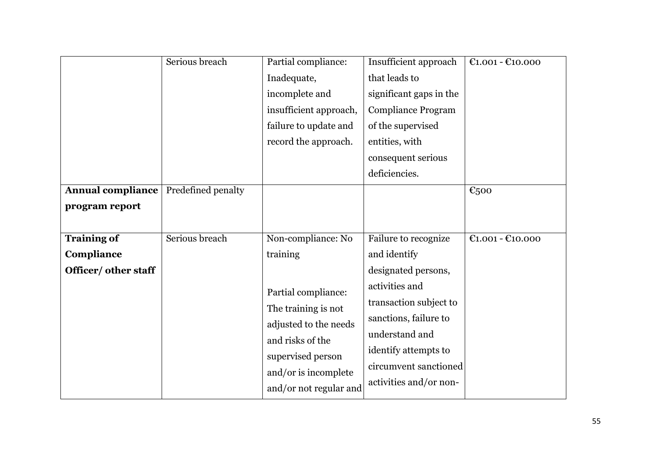|                          | Serious breach     | Partial compliance:                            | Insufficient approach     | €1.001 - €10.000   |
|--------------------------|--------------------|------------------------------------------------|---------------------------|--------------------|
|                          |                    | Inadequate,                                    | that leads to             |                    |
|                          |                    | incomplete and                                 | significant gaps in the   |                    |
|                          |                    | insufficient approach,                         | <b>Compliance Program</b> |                    |
|                          |                    | failure to update and                          | of the supervised         |                    |
|                          |                    | record the approach.                           | entities, with            |                    |
|                          |                    |                                                | consequent serious        |                    |
|                          |                    |                                                | deficiencies.             |                    |
| <b>Annual compliance</b> | Predefined penalty |                                                |                           | €500               |
| program report           |                    |                                                |                           |                    |
|                          |                    |                                                |                           |                    |
| <b>Training of</b>       | Serious breach     | Non-compliance: No                             | Failure to recognize      | $£1.001 - £10.000$ |
| Compliance               |                    | training                                       | and identify              |                    |
| Officer/ other staff     |                    |                                                | designated persons,       |                    |
|                          |                    |                                                |                           |                    |
|                          |                    |                                                | activities and            |                    |
|                          |                    | Partial compliance:                            | transaction subject to    |                    |
|                          |                    | The training is not                            | sanctions, failure to     |                    |
|                          |                    | adjusted to the needs                          | understand and            |                    |
|                          |                    | and risks of the                               | identify attempts to      |                    |
|                          |                    | supervised person                              | circumvent sanctioned     |                    |
|                          |                    | and/or is incomplete<br>and/or not regular and | activities and/or non-    |                    |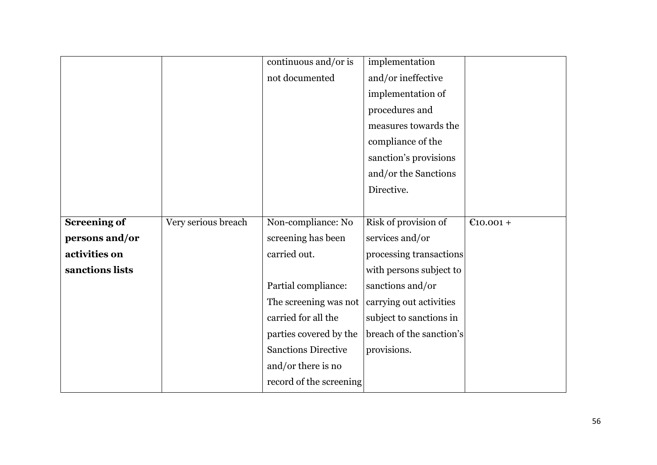|                     |                     | continuous and/or is       | implementation           |             |
|---------------------|---------------------|----------------------------|--------------------------|-------------|
|                     |                     | not documented             | and/or ineffective       |             |
|                     |                     |                            | implementation of        |             |
|                     |                     |                            | procedures and           |             |
|                     |                     |                            | measures towards the     |             |
|                     |                     |                            | compliance of the        |             |
|                     |                     |                            | sanction's provisions    |             |
|                     |                     |                            | and/or the Sanctions     |             |
|                     |                     |                            | Directive.               |             |
|                     |                     |                            |                          |             |
| <b>Screening of</b> | Very serious breach | Non-compliance: No         | Risk of provision of     | $€10.001 +$ |
| persons and/or      |                     | screening has been         | services and/or          |             |
| activities on       |                     | carried out.               | processing transactions  |             |
| sanctions lists     |                     |                            | with persons subject to  |             |
|                     |                     | Partial compliance:        | sanctions and/or         |             |
|                     |                     | The screening was not      | carrying out activities  |             |
|                     |                     | carried for all the        | subject to sanctions in  |             |
|                     |                     | parties covered by the     | breach of the sanction's |             |
|                     |                     | <b>Sanctions Directive</b> | provisions.              |             |
|                     |                     | and/or there is no         |                          |             |
|                     |                     | record of the screening    |                          |             |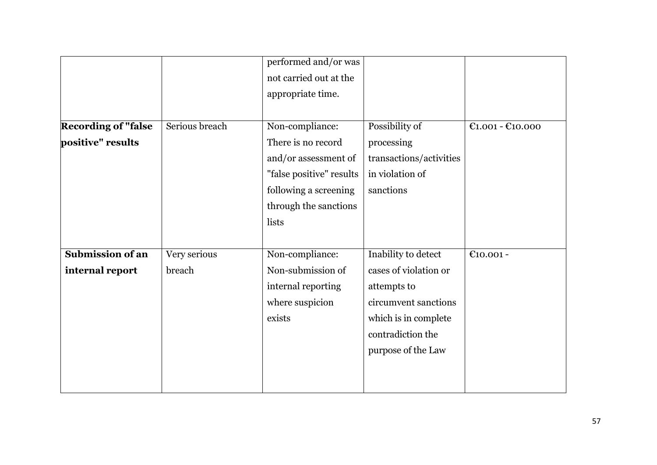|                            |                | performed and/or was     |                         |                    |
|----------------------------|----------------|--------------------------|-------------------------|--------------------|
|                            |                | not carried out at the   |                         |                    |
|                            |                | appropriate time.        |                         |                    |
|                            |                |                          |                         |                    |
| <b>Recording of "false</b> | Serious breach | Non-compliance:          | Possibility of          | $E1.001 - E10.000$ |
| positive" results          |                | There is no record       | processing              |                    |
|                            |                | and/or assessment of     | transactions/activities |                    |
|                            |                | "false positive" results | in violation of         |                    |
|                            |                | following a screening    | sanctions               |                    |
|                            |                | through the sanctions    |                         |                    |
|                            |                | lists                    |                         |                    |
|                            |                |                          |                         |                    |
| <b>Submission of an</b>    | Very serious   | Non-compliance:          | Inability to detect     | €10.001 -          |
| internal report            | breach         | Non-submission of        | cases of violation or   |                    |
|                            |                | internal reporting       | attempts to             |                    |
|                            |                | where suspicion          | circumvent sanctions    |                    |
|                            |                | exists                   | which is in complete    |                    |
|                            |                |                          | contradiction the       |                    |
|                            |                |                          | purpose of the Law      |                    |
|                            |                |                          |                         |                    |
|                            |                |                          |                         |                    |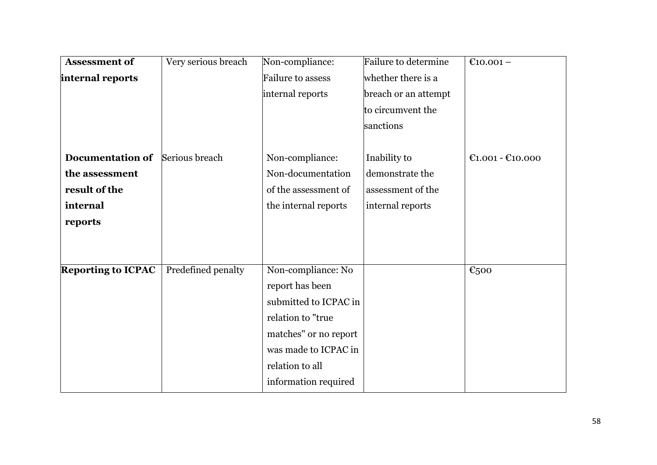| <b>Assessment of</b>      | Very serious breach | Non-compliance:       | Failure to determine | €10.001 –          |
|---------------------------|---------------------|-----------------------|----------------------|--------------------|
| internal reports          |                     | Failure to assess     | whether there is a   |                    |
|                           |                     | internal reports      | breach or an attempt |                    |
|                           |                     |                       | to circumvent the    |                    |
|                           |                     |                       | sanctions            |                    |
| <b>Documentation of</b>   | Serious breach      | Non-compliance:       | Inability to         | $£1.001 - £10.000$ |
| the assessment            |                     | Non-documentation     | demonstrate the      |                    |
| result of the             |                     | of the assessment of  | assessment of the    |                    |
| internal                  |                     | the internal reports  | internal reports     |                    |
| reports                   |                     |                       |                      |                    |
|                           |                     |                       |                      |                    |
| <b>Reporting to ICPAC</b> | Predefined penalty  | Non-compliance: No    |                      | €500               |
|                           |                     | report has been       |                      |                    |
|                           |                     | submitted to ICPAC in |                      |                    |
|                           |                     | relation to "true     |                      |                    |
|                           |                     | matches" or no report |                      |                    |
|                           |                     | was made to ICPAC in  |                      |                    |
|                           |                     | relation to all       |                      |                    |
|                           |                     | information required  |                      |                    |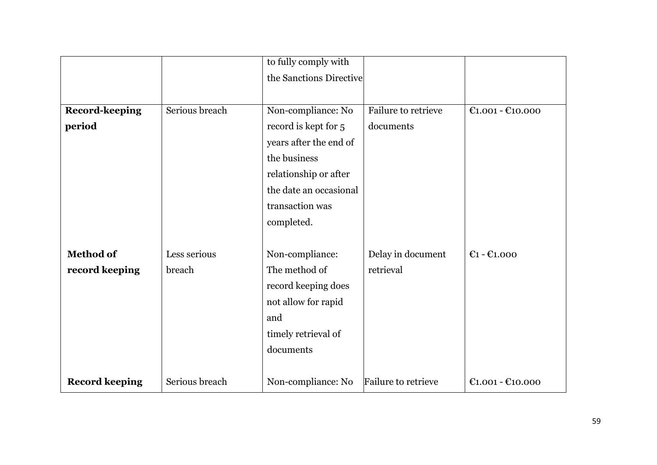|                       |                | to fully comply with    |                     |                    |
|-----------------------|----------------|-------------------------|---------------------|--------------------|
|                       |                | the Sanctions Directive |                     |                    |
|                       |                |                         |                     |                    |
| <b>Record-keeping</b> | Serious breach | Non-compliance: No      | Failure to retrieve | $C1.001 - C10.000$ |
| period                |                | record is kept for 5    | documents           |                    |
|                       |                | years after the end of  |                     |                    |
|                       |                | the business            |                     |                    |
|                       |                | relationship or after   |                     |                    |
|                       |                | the date an occasional  |                     |                    |
|                       |                | transaction was         |                     |                    |
|                       |                | completed.              |                     |                    |
|                       |                |                         |                     |                    |
| <b>Method of</b>      | Less serious   | Non-compliance:         | Delay in document   | $E1 - E1.000$      |
| record keeping        | breach         | The method of           | retrieval           |                    |
|                       |                | record keeping does     |                     |                    |
|                       |                | not allow for rapid     |                     |                    |
|                       |                | and                     |                     |                    |
|                       |                | timely retrieval of     |                     |                    |
|                       |                | documents               |                     |                    |
|                       |                |                         |                     |                    |
| <b>Record keeping</b> | Serious breach | Non-compliance: No      | Failure to retrieve | $E1.001 - E10.000$ |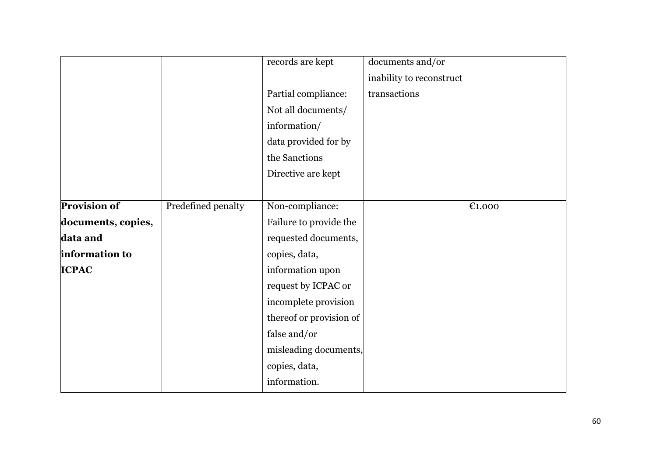|                     |                    | records are kept        | documents and/or         |        |
|---------------------|--------------------|-------------------------|--------------------------|--------|
|                     |                    |                         | inability to reconstruct |        |
|                     |                    | Partial compliance:     | transactions             |        |
|                     |                    | Not all documents/      |                          |        |
|                     |                    | information/            |                          |        |
|                     |                    | data provided for by    |                          |        |
|                     |                    | the Sanctions           |                          |        |
|                     |                    | Directive are kept      |                          |        |
|                     |                    |                         |                          |        |
| <b>Provision of</b> | Predefined penalty | Non-compliance:         |                          | E1.000 |
| documents, copies,  |                    | Failure to provide the  |                          |        |
| data and            |                    | requested documents,    |                          |        |
| information to      |                    | copies, data,           |                          |        |
| <b>ICPAC</b>        |                    | information upon        |                          |        |
|                     |                    | request by ICPAC or     |                          |        |
|                     |                    | incomplete provision    |                          |        |
|                     |                    | thereof or provision of |                          |        |
|                     |                    | false and/or            |                          |        |
|                     |                    | misleading documents,   |                          |        |
|                     |                    | copies, data,           |                          |        |
|                     |                    | information.            |                          |        |
|                     |                    |                         |                          |        |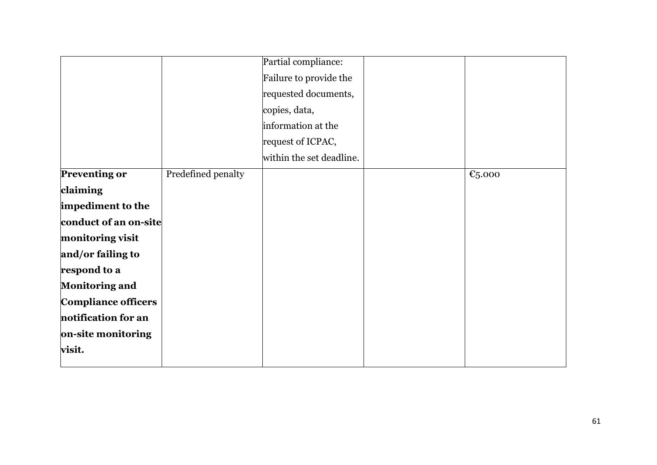|                            |                    | Partial compliance:      |                    |
|----------------------------|--------------------|--------------------------|--------------------|
|                            |                    | Failure to provide the   |                    |
|                            |                    | requested documents,     |                    |
|                            |                    | copies, data,            |                    |
|                            |                    | information at the       |                    |
|                            |                    | request of ICPAC,        |                    |
|                            |                    | within the set deadline. |                    |
| <b>Preventing or</b>       | Predefined penalty |                          | $\epsilon_{5.000}$ |
| claiming                   |                    |                          |                    |
| impediment to the          |                    |                          |                    |
| conduct of an on-site      |                    |                          |                    |
| monitoring visit           |                    |                          |                    |
| and/or failing to          |                    |                          |                    |
| respond to a               |                    |                          |                    |
| <b>Monitoring and</b>      |                    |                          |                    |
| <b>Compliance officers</b> |                    |                          |                    |
| notification for an        |                    |                          |                    |
| on-site monitoring         |                    |                          |                    |
| visit.                     |                    |                          |                    |
|                            |                    |                          |                    |